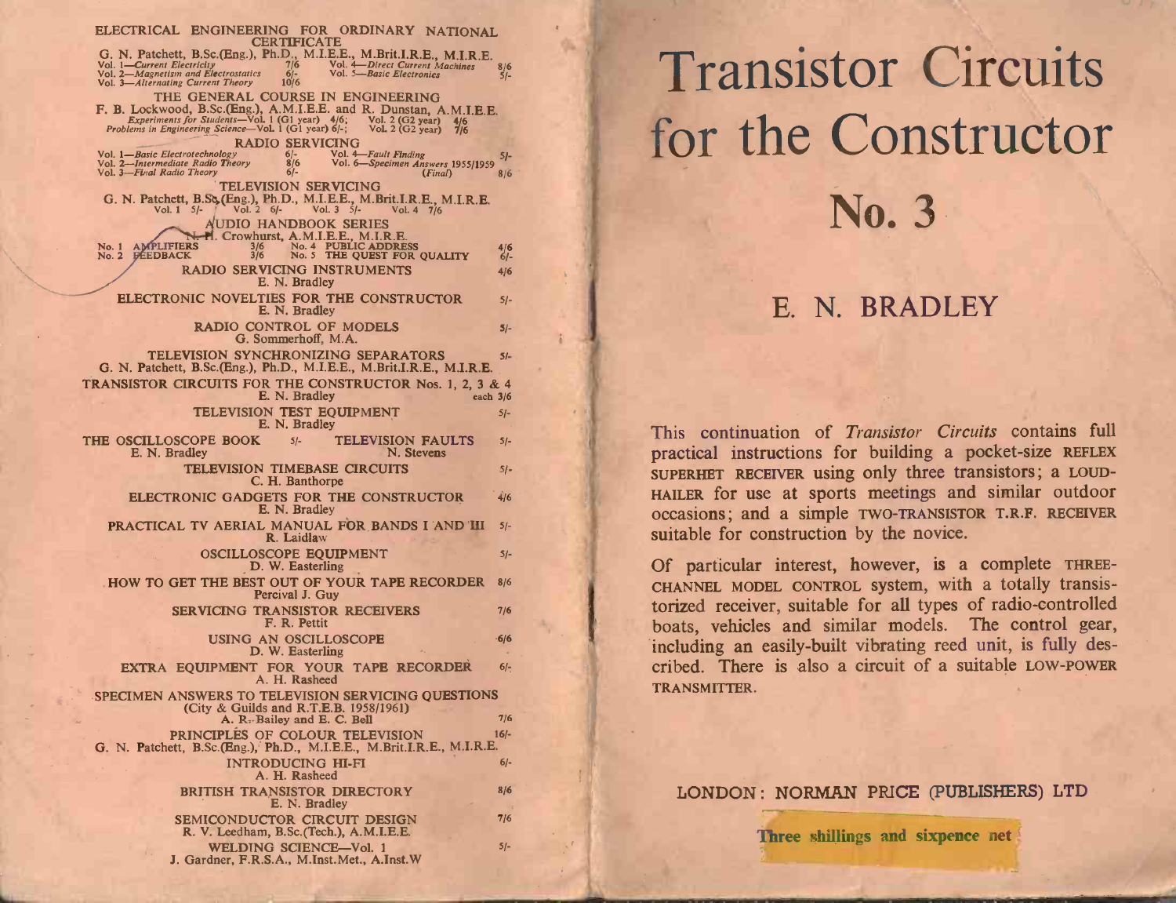| ELECTRICAL ENGINEERING FOR ORDINARY NATIONAL<br><b>CERTIFICATE</b><br>G. N. Patchett, B.Sc.(Eng.), Ph.D., M.I.E.E., M.Brit.I.R.E., M.I.R.E.<br>Vol. 1—Current Electricity<br>Vol. 2—Magnetism and Electrostatics<br>Vol. 5—Basic Electronics<br>S/-<br>Vol. 1—Current Electricity<br>Vol. 2—Magnetism and Electrostatics<br>Vol. 3—Alternating Current Theory                                 |                        | <b>Transistor Circuits</b>                                                                                            |
|-----------------------------------------------------------------------------------------------------------------------------------------------------------------------------------------------------------------------------------------------------------------------------------------------------------------------------------------------------------------------------------------------|------------------------|-----------------------------------------------------------------------------------------------------------------------|
| 10/6<br>THE GENERAL COURSE IN ENGINEERING                                                                                                                                                                                                                                                                                                                                                     |                        |                                                                                                                       |
| F. B. Lockwood, B.Sc.(Eng.), A.M.I.E.E. and R. Dunstan, A.M.I.E.E.<br>Experiments for Students—Vol. 1 (G1 year) 4/6; Vol. 2 (G2 year) 4/6<br>Problems in Engineering Science—Vol. 1 (G1 year) 6/-; Vol. 2 (G2 year) 7/6<br><b>RADIO SERVICING</b><br>$6/-$<br>Vol. 4 Fault Finding<br>Vol. 6 Specimen Answers 1955/1959<br>Vol. 1-Basic Electrotechnology<br>Vol. 2-Intermediate Radio Theory | $5 -$                  | for the Constructor                                                                                                   |
| 8/6<br>Vol. 3-Final Radio Theory<br>$6/-$<br>(Final)<br><b>TELEVISION SERVICING</b>                                                                                                                                                                                                                                                                                                           | 8/6                    |                                                                                                                       |
| G. N. Patchett, B.Sc. (Eng.), Ph.D., M.I.E.E., M.Brit.I.R.E., M.I.R.E. Vol. 1 5/- Vol. 2 6/- Vol. 3 5/- Vol. 4 7/6<br>AUDIO HANDBOOK SERIES<br>N. H. Crowhurst, A.M.I.E.E., M.I.R.E.                                                                                                                                                                                                          |                        | No. 3                                                                                                                 |
| No. 4 PUBLIC ADDRESS<br>No. 5 THE QUEST FOR QUALITY<br>No. 1 AMPLIFIERS<br>3/6<br>No. 2 DÉEDBACK<br>3/6<br>RADIO SERVICING INSTRUMENTS                                                                                                                                                                                                                                                        | $\frac{4/6}{6}$<br>4/6 |                                                                                                                       |
| E. N. Bradley<br>ELECTRONIC NOVELTIES FOR THE CONSTRUCTOR<br>E. N. Bradley                                                                                                                                                                                                                                                                                                                    | $5/-$                  | E. N. BRADLEY                                                                                                         |
| RADIO CONTROL OF MODELS<br>G. Sommerhoff, M.A.                                                                                                                                                                                                                                                                                                                                                | $5/-$                  |                                                                                                                       |
| TELEVISION SYNCHRONIZING SEPARATORS<br>G. N. Patchett, B.Sc.(Eng.), Ph.D., M.I.E.E., M.Brit.I.R.E., M.I.R.E.<br>TRANSISTOR CIRCUITS FOR THE CONSTRUCTOR Nos. 1, 2, 3 & 4                                                                                                                                                                                                                      | $5/-$                  |                                                                                                                       |
| E. N. Bradley<br>each $3/6$<br>TELEVISION TEST EQUIPMENT<br>E. N. Bradley                                                                                                                                                                                                                                                                                                                     | $5/-$                  |                                                                                                                       |
| THE OSCILLOSCOPE BOOK<br><b>TELEVISION FAULTS</b><br>$5/-$<br>E. N. Bradley<br>N. Stevens                                                                                                                                                                                                                                                                                                     | $5/-$                  | This continuation of Transistor Circuits contains full<br>practical instructions for building a pocket-size REFLEX    |
| TELEVISION TIMEBASE CIRCUITS<br>C. H. Banthorpe                                                                                                                                                                                                                                                                                                                                               | $5/-$                  | SUPERHET RECEIVER using only three transistors; a LOUD-                                                               |
| ELECTRONIC GADGETS FOR THE CONSTRUCTOR<br>E. N. Bradley                                                                                                                                                                                                                                                                                                                                       | 4/6                    | HAILER for use at sports meetings and similar outdoor<br>occasions; and a simple TWO-TRANSISTOR T.R.F. RECEIVER       |
| PRACTICAL TV AERIAL MANUAL FOR BANDS I AND III 5/-<br>R. Laidlaw                                                                                                                                                                                                                                                                                                                              |                        | suitable for construction by the novice.                                                                              |
| OSCILLOSCOPE EQUIPMENT<br>D. W. Easterling                                                                                                                                                                                                                                                                                                                                                    | $5/-$                  | Of particular interest, however, is a complete THREE-                                                                 |
| HOW TO GET THE BEST OUT OF YOUR TAPE RECORDER 8/6<br>Percival J. Guy                                                                                                                                                                                                                                                                                                                          |                        | CHANNEL MODEL CONTROL system, with a totally transis-<br>torized receiver, suitable for all types of radio-controlled |
| <b>SERVICING TRANSISTOR RECEIVERS</b><br>F. R. Pettit                                                                                                                                                                                                                                                                                                                                         | 7/6                    | boats, vehicles and similar models. The control gear,                                                                 |
| USING AN OSCILLOSCOPE<br>D. W. Easterling                                                                                                                                                                                                                                                                                                                                                     | -6/6                   | including an easily-built vibrating reed unit, is fully des-                                                          |
| EXTRA EQUIPMENT FOR YOUR TAPE RECORDER<br>A. H. Rasheed                                                                                                                                                                                                                                                                                                                                       | $6/-$                  | cribed. There is also a circuit of a suitable LOW-POWER<br>TRANSMITTER.                                               |
| SPECIMEN ANSWERS TO TELEVISION SERVICING QUESTIONS<br>(City & Guilds and R.T.E.B. 1958/1961)<br>A. R. Bailey and E. C. Bell                                                                                                                                                                                                                                                                   | 7/6                    |                                                                                                                       |
| PRINCIPLES OF COLOUR TELEVISION<br>G. N. Patchett, B.Sc.(Eng.), Ph.D., M.I.E.E., M.Brit.I.R.E., M.I.R.E.                                                                                                                                                                                                                                                                                      | $16/-$                 |                                                                                                                       |
| INTRODUCING HI-FI<br>A. H. Rasheed                                                                                                                                                                                                                                                                                                                                                            | $6/-$                  |                                                                                                                       |
| <b>BRITISH TRANSISTOR DIRECTORY</b><br>E. N. Bradley                                                                                                                                                                                                                                                                                                                                          | 8/6                    | LONDON: NORMAN PRICE (PUBLISHERS) LTD                                                                                 |
| SEMICONDUCTOR CIRCUIT DESIGN<br>R. V. Leedham, B.Sc. (Tech.), A.M.I.E.E.                                                                                                                                                                                                                                                                                                                      | 7/6                    | Three shillings and sixpence net                                                                                      |
| WELDING SCIENCE-Vol. 1                                                                                                                                                                                                                                                                                                                                                                        | $5/-$                  |                                                                                                                       |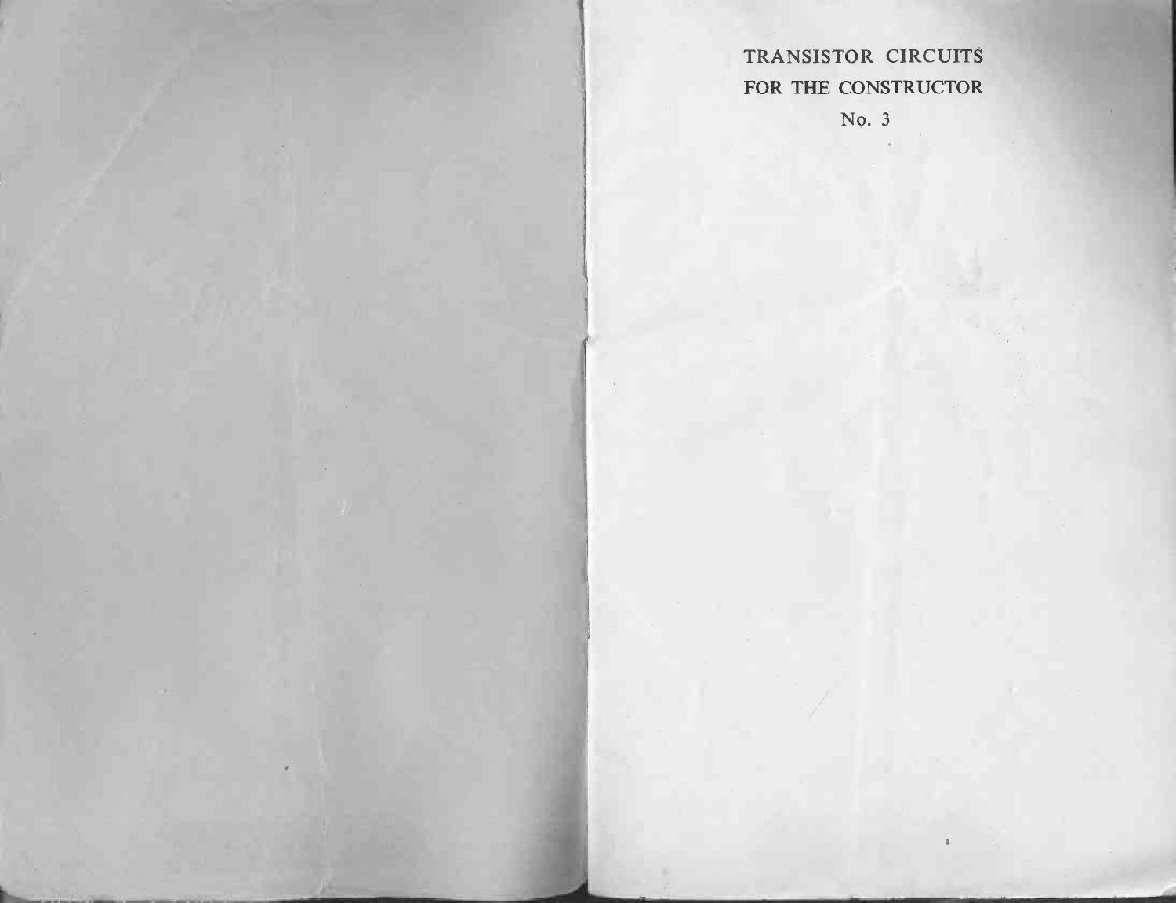# **TRANSISTOR CIRCUITS TRANSISTOR CIRCUITS<br>FOR THE CONSTRUCTOR**

No. 3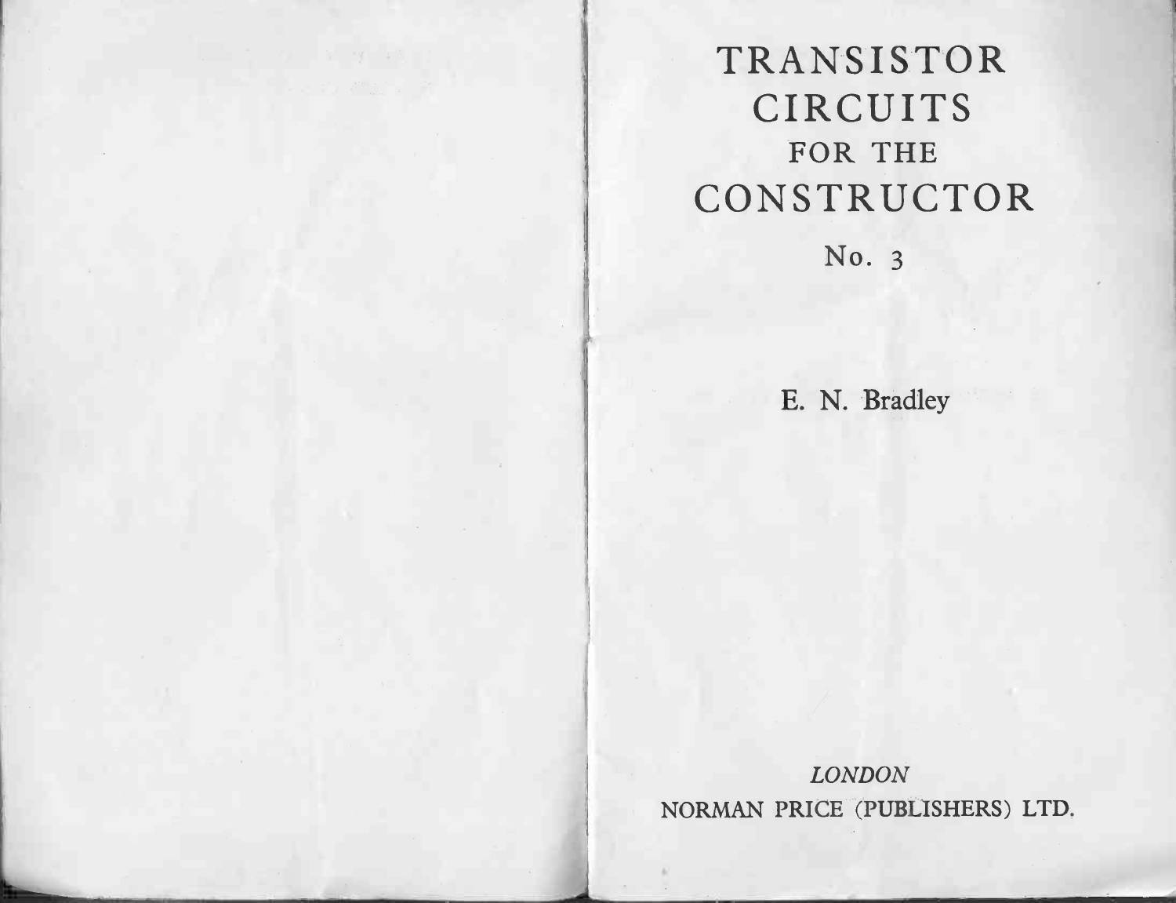# TRANSISTOR RANSISTO<br>CIRCUITS **INSIST<br>FOR THE** FOR THE CONSTRUCTOR  $\overline{\phantom{0}}$

No. 3

E. N. Bradley

LONDON NORMAN PRICE (PUBLISHERS) LTD.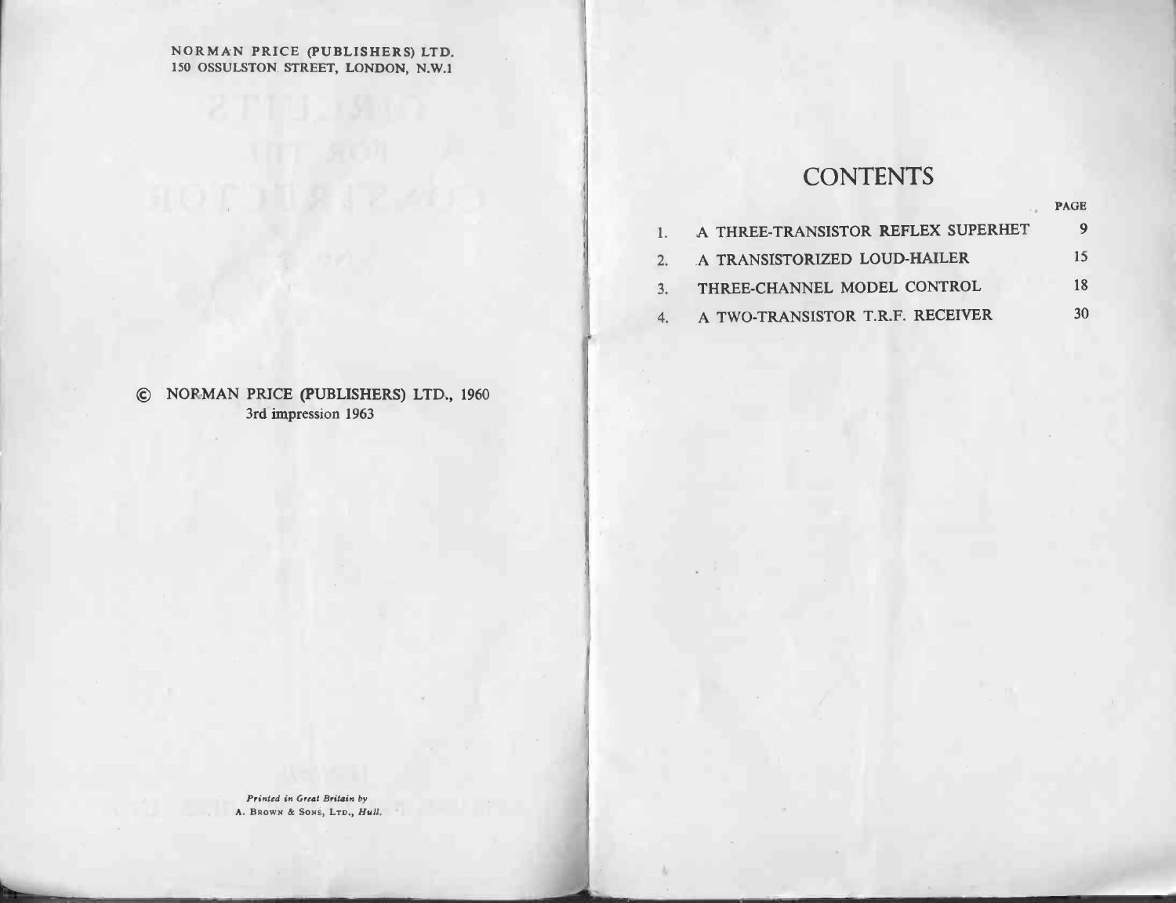### NORMAN PRICE (PUBLISHERS) LTD. 1<br>150 OSSULSTON STREET, LONDON, N.W.1<br>150 OSSULSTON STREET, LONDON, N.W.1

### **CONTENTS**

|             | ۰ |  |
|-------------|---|--|
|             |   |  |
| <b>PAGE</b> |   |  |

|               | <b>CONTENTS</b>                    |             |
|---------------|------------------------------------|-------------|
|               |                                    | <b>PAGE</b> |
|               | A THREE-TRANSISTOR REFLEX SUPERHET | 9           |
| $\mathcal{P}$ | A TRANSISTORIZED LOUD-HAILER       | 15.         |
| 3.            | THREE-CHANNEL MODEL CONTROL        | 18          |
|               | A TWO-TRANSISTOR T.R.F. RECEIVER   | 30          |

## © NORMAN PRICE (PUBLISHERS) LTD., 1960 PRICE (PUBLISH)<br>3rd impression 1963

Printed in Great Britain by A. BROWN & SONS, LTD., Hull.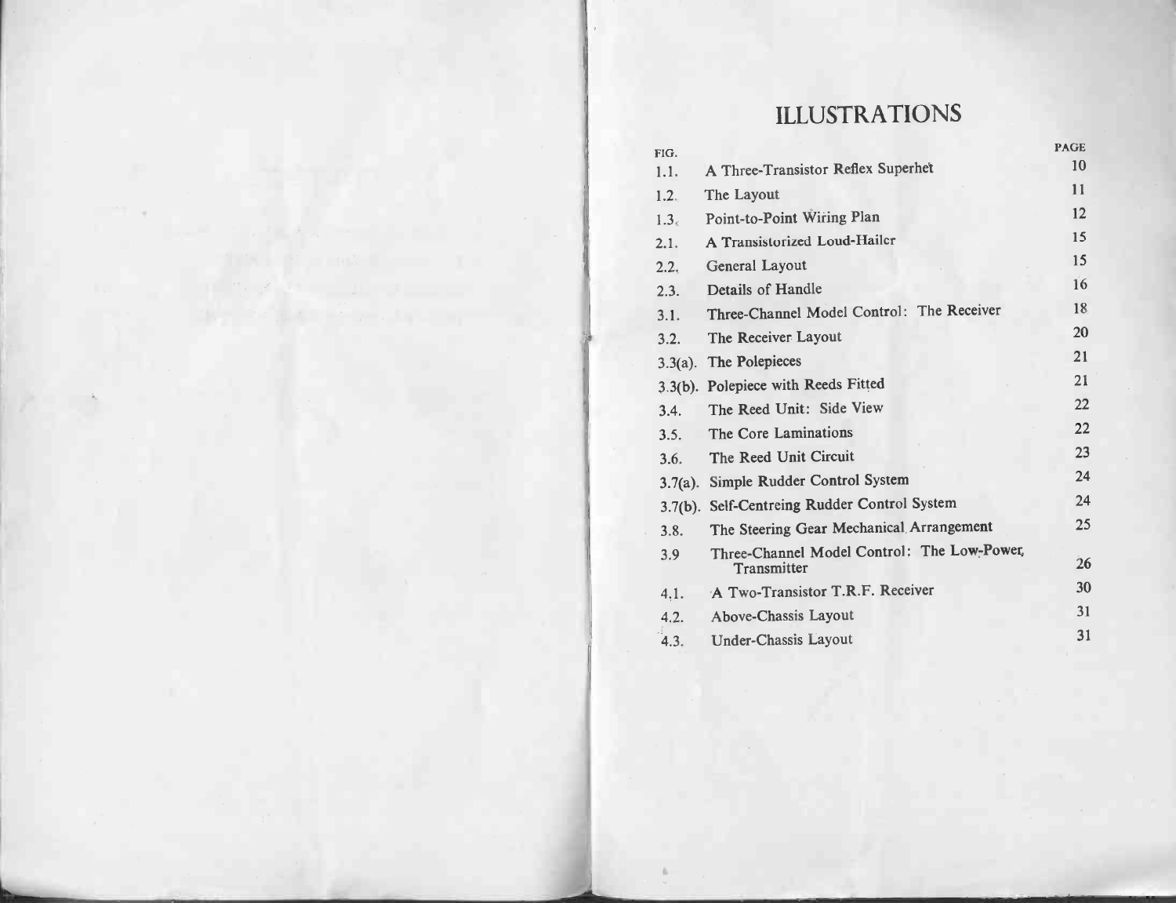# ILLUSTRATIONS

|                  | <b>ILLUSTRATIONS</b>                                       |             |
|------------------|------------------------------------------------------------|-------------|
| FIG.             |                                                            | <b>PAGE</b> |
| 1.1.             | A Three-Transistor Reflex Superhet                         | 10          |
| 1.2.             | The Layout                                                 | 11          |
| 1.3 <sub>6</sub> | Point-to-Point Wiring Plan                                 | 12          |
| 2.1.             | A Transistorized Loud-Hailer                               | 15          |
| 2.2.             | General Layout                                             | 15          |
| 2.3.             | Details of Handle                                          | 16          |
| 3.1.             | Three-Channel Model Control: The Receiver                  | 18          |
| 3.2.             | The Receiver Layout                                        | 20          |
|                  | 3.3(a). The Polepieces                                     | 21          |
|                  | 3.3(b). Polepiece with Reeds Fitted                        | 21          |
| 3.4.             | The Reed Unit: Side View                                   | 22          |
| 3.5.             | The Core Laminations                                       | 22          |
| 3.6.             | The Reed Unit Circuit                                      | 23          |
| $3.7(a)$ .       | Simple Rudder Control System                               | 24          |
| 3.7(b).          | Self-Centreing Rudder Control System                       | 24          |
| 3.8.             | The Steering Gear Mechanical Arrangement                   | 25          |
| 3.9              | Three-Channel Model Control: The Low-Power,<br>Transmitter | 26          |
| 4.1.             | A Two-Transistor T.R.F. Receiver                           | 30          |
| 4.2.             | Above-Chassis Layout                                       | 31          |
| 4.3.             | <b>Under-Chassis Layout</b>                                | 31          |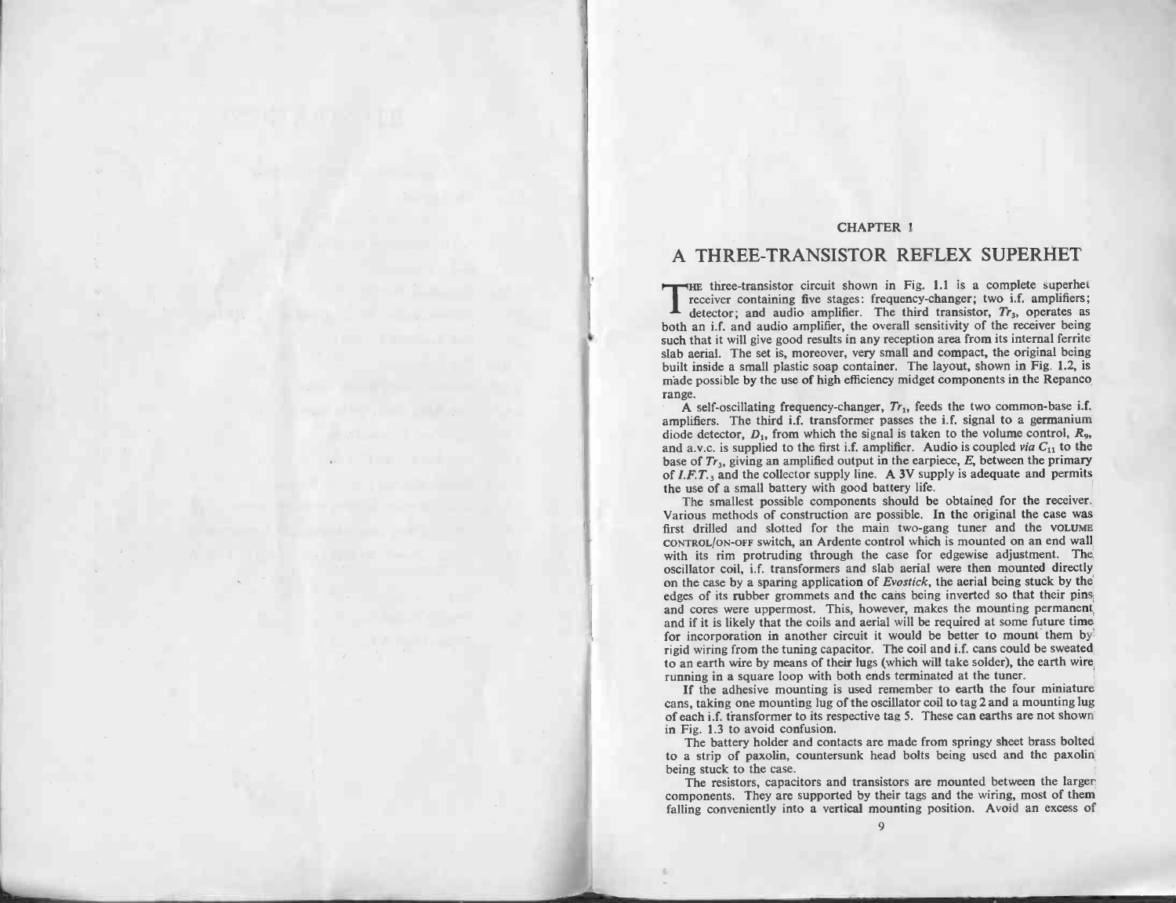### CHAPTER 1

# CHAPTER 1 THREE-TRANSISTOR REFLEX SUPERHET<br>THE three-transistor circuit shown in Fig. 1.1 is a complete superhet

THE three-transistor circuit shown in Fig. 1.1 is a complete superhet<br>receiver containing five stages: frequency-changer; two i.f. amplifiers;<br>both an i.f. and audio amplifier, the overall sensitivity of the receiver bein **EXECUTE:** THE three-transistor circuit shown in Fig. 1.1 is a complete superfiet receiver containing five stages: frequency-changer; two i.f. amplifiers about a minimum internal and complifier. The the original being suc both an i.f. and audio amplifier, the overall sensitivity of the receiver being<br>such that it will give good results in any reception area from its internal ferrite<br>slab aerial. The set is, moreover, very small and compact, slab aerial. The set is, moreover, very small and compact, the original being built inside a small plastic soap container. The layout, shown in Fig. 1.2, is made possible by the use of high efficiency midget components in amplifiers. The third is the third induced that it will give good results has a both an i.f. and audio amplifier, the overall sensitivity of the receiver being slab aerial. The set is, moreover, very small and compact, th

A self-oscillating frequency-changer,  $Tr<sub>1</sub>$ , feeds the two common-base i.f. A self-oscillating frequency-changer,  $Tr_1$ , feeds the two common-base 1.1 amplifiers. The third i.f. transformer passes the i.f. signal to a germanium diode detector,  $D_1$ , from which the signal is taken to the volume c range.<br>amplifiers. The third i.f. transformer passes the i.f. signal to a germanium<br>diode detector,  $D_1$ , from which the signal is taken to the volume control,  $R_2$ ,<br>and a.v.c. is supplied to the first i.f. amplifier. A diode detector,  $D_1$ , from which the signal is taken to the volume control,  $R_9$ , and a.v.c. is supplied to the first i.f. amplifier. Audio is coupled *via*  $C_{11}$  to the base of  $Tr_3$ , giving an amplified output in th the use of  $Tr_3$ , giving an amplified output in the earpiece,  $E$ , between the primary of  $I.F. T.3$  and the collector supply line. A 3V supply is adequate and permits the use of a small battery with good battery life. The

first drilled and slottery with good battery life.<br>The smallest possible components should be obtained for the receiver.<br>Various methods of construction are possible. In the original the case was<br>first drilled and slotted CONTROL/ON-OFF switch, an Ardente control which is mounted on an end wall Various methods of construction are possible. In the original the case was<br>first drilled and slotted for the main two-gang tuner and the volume<br>contract/on-ore switch, an Ardente control which is mounted on an end wall<br>wit first drilled and slotted for the main two-gang tuner and the VOLUME<br>contract/on-ore switch, an Ardente control which is mounted on an end wall<br>with its rim protruding through the case for edgewise adjustment. The<br>oscillat edges of its rubber grounding through the case for edgewise adjustment. The oscillator coil, i.f. transformers and slab aerial were then mounted directly on the case by a sparing application of *Evostick*, the aerial being oscillator coil, i.f. transformers and slab aerial were then mounted directly<br>on the case by a sparing application of *Evostick*, the aerial being stuck by the<br>edges of its rubber grommets and the cans being inverted so th From the case of its rubber grommets and the cans being inverted so that their pins<br>and cores were uppermost. This, however, makes the mounting permanent<br>and if it is likely that the coils and aerial will be required at so and cores were uppermost. This, however, makes the mounting permanent<br>and if it is likely that the coils and aerial will be required at some future time<br>for incorporation in another circuit it would be better to mount them for incorporation in another circuit it would be better to mount them by rigid wiring from the tuning capacitor. The coil and i.f. cans could be sweated to an earth wire by means of their lugs (which will take solder), the can series with the tuning capacitor. The coil and i.f. cans could be sweated to an earth wire by means of their lugs (which will take solder), the earth wire running in a square loop with both ends terminated at the tuner

Figure with the current community control of the present of their lugs (which will take solder), the earth wire<br>trunning in a square loop with both ends terminated at the tuner.<br>If the adhesive mounting is used remember to of each i.f. transformer to its respective tag 5. These can earths are not shown<br>in Fig. 1.3 to avoid confusion.<br>The battery holder and contacts are made from springy sheet brass bolted If the advance loop win our counting is used remember to earth the four miniature<br>If the advance mounting is used remember to earth the four miniature<br>orans, taking one mounting lug of the oscillator coil to tag 2 and a mo

to a strip of paxolin, countersunk head bolts being used and the paxolin being stuck to the case.

The resistors, capacitors and transistors are mounted between the larger components. They are supported by their tags and the wiring, most of them

9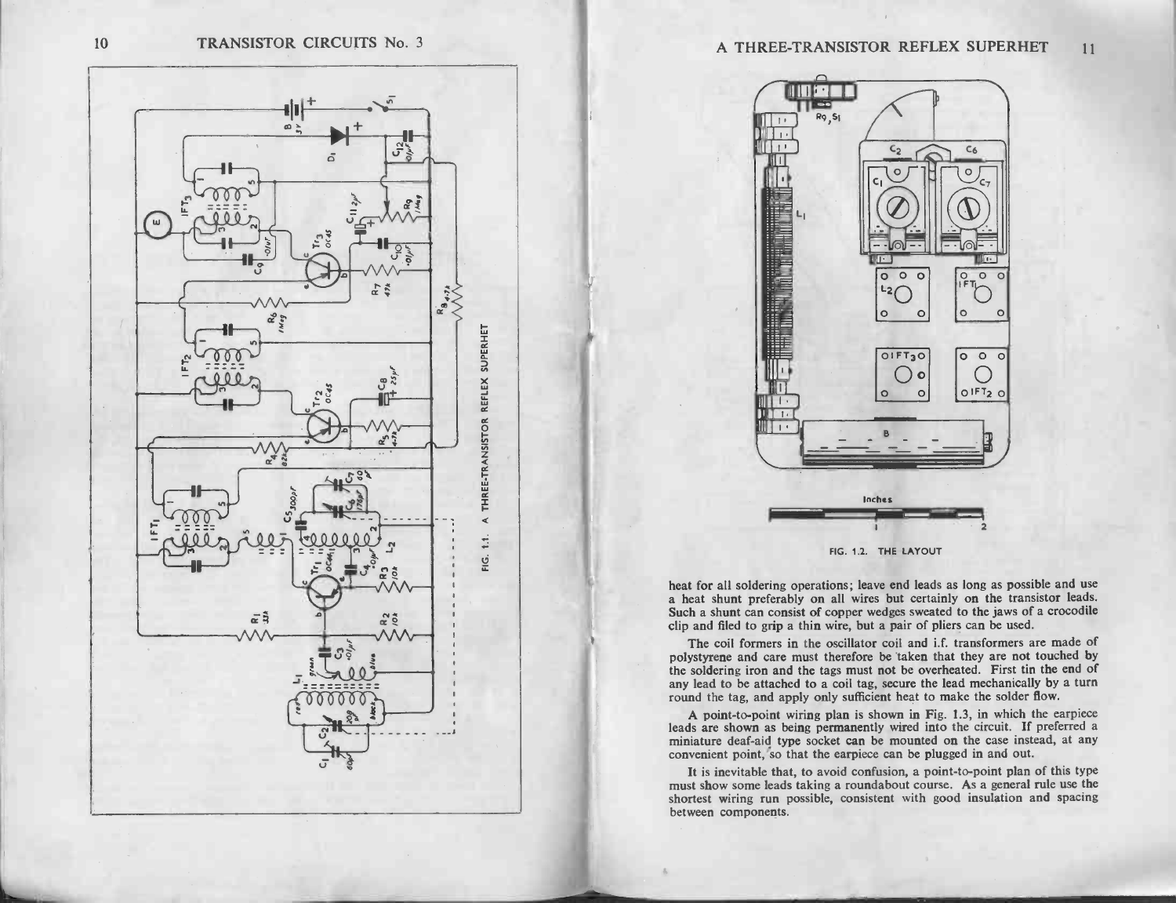



|<br>|<br>|



miniature deaf-aid type socket can be mounted on the case instead, at any convenient point, so that the earpiece can be plugged in and out. A point-to-point wiring plan is shown in Fig. 1.3, in which the earpiece leads are shown as being permanently wired into the circuit. If preferred a miniature deaf-aid type socket can be mounted on the case instead, at any

eads are shown as being permanently wired into the circuit. It pleteried a miniature deaf-aid type socket can be mounted on the case instead, at any convenient point, so that the earpiece can be plugged in and out.<br>It is i between components.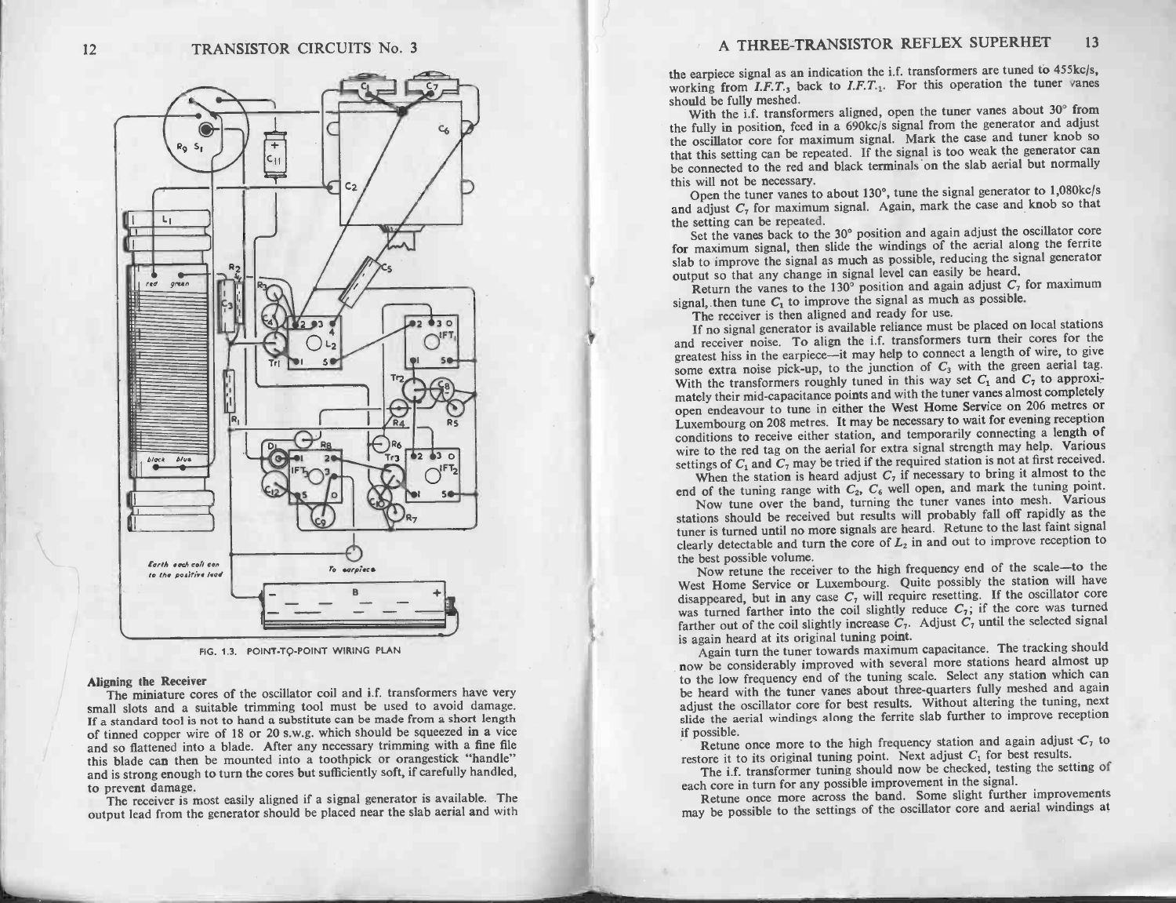

FIG. 1.3. POINT-TO-POINT WIRING PLAN

Aligning the Receiver<br>The miniature cores of the oscillator coil and i.f. transformers have very<br>small slots and a suitable trimming tool must be used to avoid damage. Aligning the Receiver<br>The miniature cores of the oscillator coil and i.f. transformers have very<br>small slots and a suitable trimming tool must be used to avoid damage.<br>If a standard tool is not to hand a substitute can be Aligning the Receiver<br>The miniature cores of the oscillator coil and i.f. transformers have very<br>small slots and a suitable trimming tool must be used to avoid damage.<br>If a standard tool is not to hand a substitute can be small slots and a suitable trimming tool must be used to avoid damage. If a standard tool is not to hand a substitute can be made from a short length of tinned copper wire of 18 or 20 s.w.g. which should be squeezed in a and so flattened into a blade. After any necessary trimming with a fine file this blade can then be mounted into a toothpick or orangestick "handle" and is strong enough to turn the cores but sufficiently soft, if carefull and so flattened into a blade. After any necessary trimming with a fine file<br>this blade can then be mounted into a toothpick or orangestick "handle"<br>and is strong enough to turn the cores but sufficiently soft, if carefull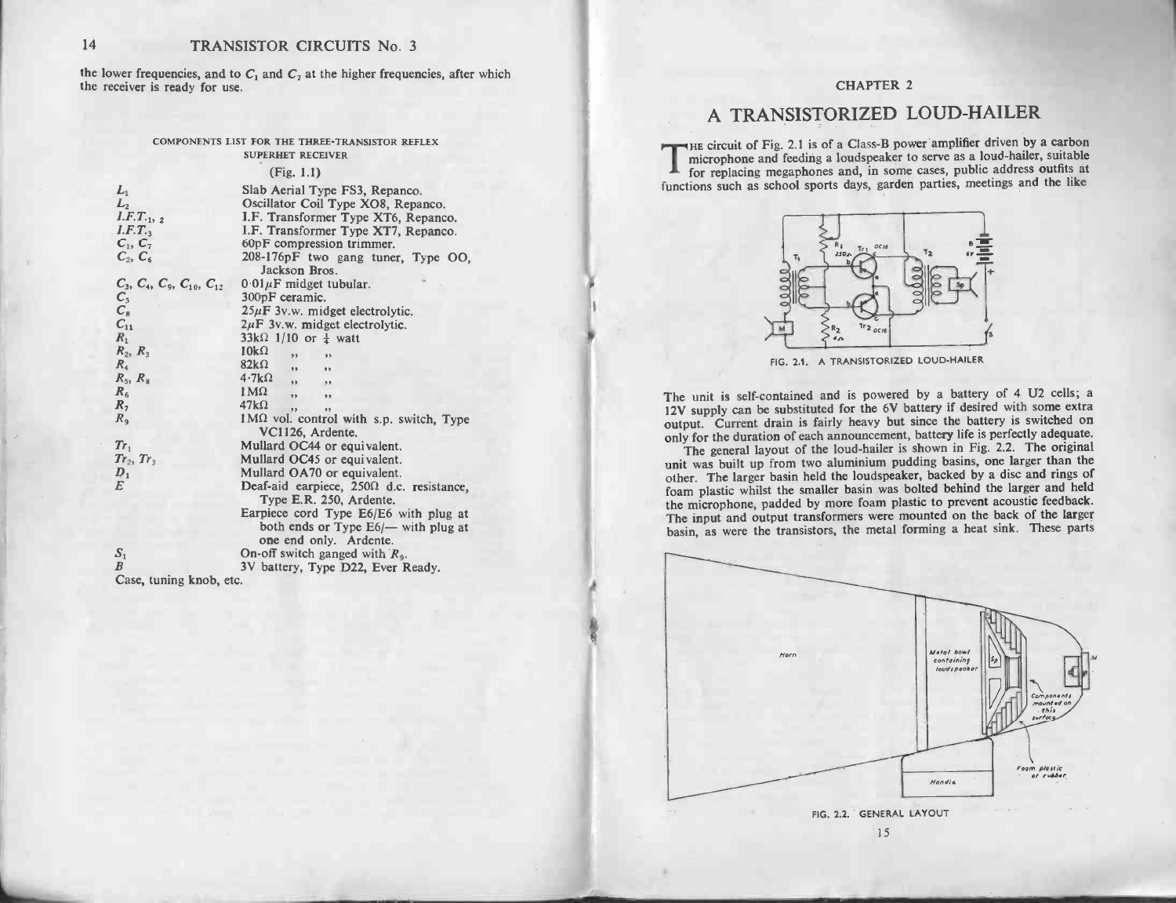14 **TRANSISTOR CIRCUITS** No. 3<br>the lower frequencies, and to  $C_1$  and  $C_7$  at the higher frequencies, after which the lower frequencies, and to<br>the receiver is ready for use. S ready for use.<br>COMPONENTS LIST FOR THE THREE-TRANSISTOR REFLEX

|                                                                                                                                                                                                                                                                                | TRANSISTOR CIRCUITS No. 3                                                                                                                                                                                                                                                                                                                                                                                                                                                                                                                                                                                                                                                                                                                                                |                                                                                                                                                                                                                                                                                                                                                                                                                                                                                                                                                                                                                                                                                                                                                                                                                                      |
|--------------------------------------------------------------------------------------------------------------------------------------------------------------------------------------------------------------------------------------------------------------------------------|--------------------------------------------------------------------------------------------------------------------------------------------------------------------------------------------------------------------------------------------------------------------------------------------------------------------------------------------------------------------------------------------------------------------------------------------------------------------------------------------------------------------------------------------------------------------------------------------------------------------------------------------------------------------------------------------------------------------------------------------------------------------------|--------------------------------------------------------------------------------------------------------------------------------------------------------------------------------------------------------------------------------------------------------------------------------------------------------------------------------------------------------------------------------------------------------------------------------------------------------------------------------------------------------------------------------------------------------------------------------------------------------------------------------------------------------------------------------------------------------------------------------------------------------------------------------------------------------------------------------------|
| eceiver is ready for use.                                                                                                                                                                                                                                                      | ower frequencies, and to $C_1$ and $C_7$ at the higher frequencies, after which                                                                                                                                                                                                                                                                                                                                                                                                                                                                                                                                                                                                                                                                                          | <b>CHAPTER 2</b>                                                                                                                                                                                                                                                                                                                                                                                                                                                                                                                                                                                                                                                                                                                                                                                                                     |
|                                                                                                                                                                                                                                                                                |                                                                                                                                                                                                                                                                                                                                                                                                                                                                                                                                                                                                                                                                                                                                                                          | A TRANSISTORIZED LOUD-HAILER                                                                                                                                                                                                                                                                                                                                                                                                                                                                                                                                                                                                                                                                                                                                                                                                         |
| $L_1$<br>L <sub>2</sub><br>$I.F.T_{112}$<br>I.F.T.<br>$C_1, C_7$<br>$C_2, C_6$<br>$C_3$ , $C_4$ , $C_9$ , $C_{10}$ , $C_{12}$<br>$\overline{C_5}$<br>$C_{11}$<br>$R_1$<br>$R_2, R_3$<br>$R_4$<br>$R_5$ , $R_8$<br>$R_6$<br>$R_{2}$<br>R <sub>9</sub><br>$Tr_1$<br>$Tr_2, Tr_3$ | COMPONENTS LIST FOR THE THREE-TRANSISTOR REFLEX<br><b>SUPERHET RECEIVER</b><br>(Fig. 1.1)<br>Slab Aerial Type FS3, Repanco.<br>Oscillator Coil Type XO8, Repanco.<br>I.F. Transformer Type XT6, Repanco.<br>I.F. Transformer Type XT7, Repanco.<br>60pF compression trimmer.<br>208-176pF two gang tuner, Type OO,<br>Jackson Bros.<br>$0.01 \mu$ F midget tubular.<br>300pF ceramic.<br>$25\mu$ F 3v.w. midget electrolytic.<br>$2\mu$ F 3v.w. midget electrolytic.<br>$33k\Omega$ 1/10 or $\frac{1}{4}$ watt<br>$10k\Omega$<br>$\ddot{\phantom{1}}$<br>$82k\Omega$<br>$4.7k\Omega$<br>53<br>53<br>$1M\Omega$<br>53<br>9.9<br>$47k\Omega$<br>1 MΩ vol. control with s.p. switch, Type<br>VC1126, Ardente.<br>Mullard OC44 or equivalent.<br>Mullard OC45 or equivalent. | THE circuit of Fig. 2.1 is of a Class-B power amplifier driven by a carbon<br>microphone and feeding a loudspeaker to serve as a loud-hailer, suitable<br>for replacing megaphones and, in some cases, public address outfits at<br>functions such as school sports days, garden parties, meetings and the like<br>$Tr1$ OC16<br>250 <sub>o</sub><br>0.00<br>0.00<br>$Tr2$ $_{QCD}$<br>FIG. 2.1. A TRANSISTORIZED LOUD-HAILER<br>The unit is self-contained and is powered by a battery of 4 U2 cells; a<br>12V supply can be substituted for the 6V battery if desired with some extra<br>output. Current drain is fairly heavy but since the battery is switched on<br>only for the duration of each announcement, battery life is perfectly adequate.<br>The general layout of the loud-hailer is shown in Fig. 2.2. The original |
| $\frac{D_1}{E}$                                                                                                                                                                                                                                                                | Mullard OA70 or equivalent.<br>Deaf-aid earpiece, $250\Omega$ d.c. resistance,<br>Type E.R. 250, Ardente.<br>Earpiece cord Type E6/E6 with plug at<br>both ends or Type E6/- with plug at<br>one end only. Ardente.                                                                                                                                                                                                                                                                                                                                                                                                                                                                                                                                                      | unit was built up from two aluminium pudding basins, one larger than the<br>other. The larger basin held the loudspeaker, backed by a disc and rings of<br>foam plastic whilst the smaller basin was bolted behind the larger and held<br>the microphone, padded by more foam plastic to prevent acoustic feedback.<br>The input and output transformers were mounted on the back of the larger<br>basin, as were the transistors, the metal forming a heat sink. These parts                                                                                                                                                                                                                                                                                                                                                        |
| $\mathcal{S}_1$<br>$\boldsymbol{B}$<br>Case, tuning knob, etc.                                                                                                                                                                                                                 | On-off switch ganged with $R_9$ .<br>3V battery, Type D22, Ever Ready.                                                                                                                                                                                                                                                                                                                                                                                                                                                                                                                                                                                                                                                                                                   |                                                                                                                                                                                                                                                                                                                                                                                                                                                                                                                                                                                                                                                                                                                                                                                                                                      |



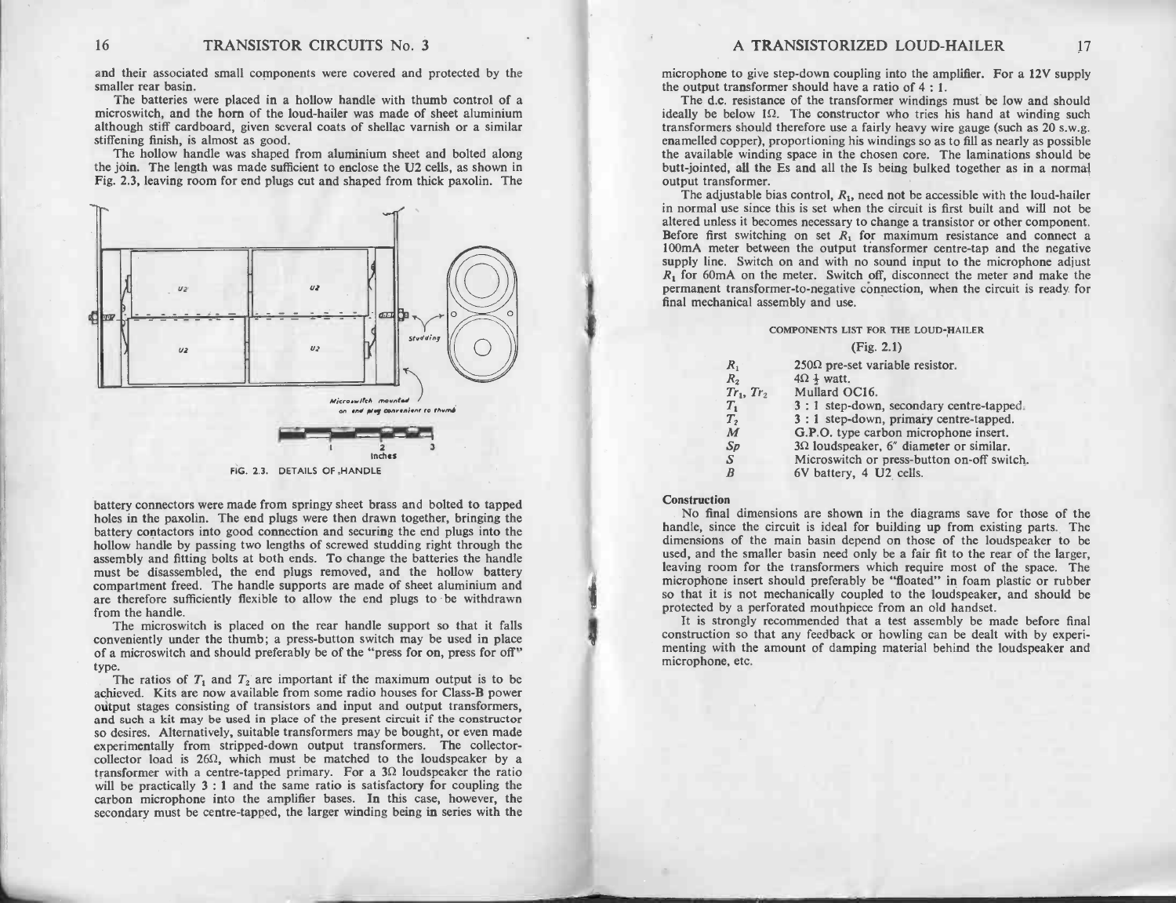16 TRANSISTOR CIRCUITS No. 3<br>and their associated small components were covered and protected by the<br>smaller rear basin. 16 TRANSISTOR CIRCUITS No. 3<br>and their associated small components were covered and protected by the<br>smaller rear basin.<br>The batteries were placed in a hollow handle with thumb control of a

TRANSISTOR CIRCUITS No. 3<br>and their associated small components were covered and protected by the<br>smaller rear basin.<br>The batteries were placed in a hollow handle with thumb control of a<br>microswitch, and the horn of the lo smaller rear basin.<br>The batteries were placed in a hollow handle with thumb control of a<br>microswitch, and the horn of the loud-hailer was made of sheet aluminium<br>although stiff cardboard, given several coats of shellac var although stiff cardboard, given several coats of shellac varnish or a similar stiffening finish, is almost as good.<br>The hollow handle was shaped from aluminium sheet and bolted along microswitch, and the horn of the loud-hailer was made of sheet aluminium<br>although stiff cardboard, given several coats of shellac varnish or a similar<br>stiffening finish, is almost as good.<br>The hollow handle was shaped from

although stiff cardboard, given several coats of shellac varnish or a similar<br>stiffening finish, is almost as good.<br>The hollow handle was shaped from aluminium sheet and bolted along<br>the join. The length was made sufficien



FIG. 2.3. DETAILS OF HANDLE

battery connectors were made from springy sheet brass and bolted to tapped FIG. 2.3. DETAILS OF HANDLE<br>battery connectors were made from springy sheet brass and bolted to tapped<br>holes in the paxolin. The end plugs were then drawn together, bringing the battery connectors were made from springy sheet brass and bolted to tapped<br>holes in the paxolin. The end plugs were then drawn together, bringing the<br>battery contactors into good connection and securing the end plugs into battery connectors were made from springy sheet brass and bolted to tapped<br>holes in the paxolin. The end plugs were then drawn together, bringing the<br>battery contactors into good connection and securing the end plugs into battery connectors were made from springy sheet brass and bolted to tapped<br>holes in the paxolin. The end plugs were then drawn together, bringing the<br>battery contactors into good connection and securing the end plugs into noies in the paxonii. The end plugs were then drawn together, oringing the battery contactors into good connection and securing the end plugs into the assembly and fitting bolts at both ends. To change the batteries the ha compartment freed. The handle supports are made of sheet aluminium and<br>are therefore sufficiently flexible to allow the end plugs to be withdrawn<br>from the handle. The microswitch is placed on the rear handle supports are made of sheet aluminium and are therefore sufficiently flexible to allow the end plugs to be withdrawn from the handle.<br>The microswitch is placed on the rear handle

of a microswitch and should preferably be of the "press to be withdrawn"<br>Crome the microswitch is placed on the rear handle support so that it falls<br>conveniently under the thumb; a press-button switch may be used in place<br> The microswitch is placed on the rear handle support so that it falls<br>conveniently under the thumb; a press-button switch may be used in place<br>of a microswitch and should preferably be of the "press for on, press for off"

be a microswitch and should preferably be of the "press for on, press for off"<br>gree.<br>The ratios of  $T_1$  and  $T_2$  are important if the maximum output is to be<br>achieved. Kits are now available from some radio houses for C The ratios of  $T_1$  and  $T_2$  are important if the maximum output is to be achieved. Kits are now available from some radio houses for Class-B power output transformers, and such a kit may be used in place of the present The ratios of  $T_1$  and  $T_2$  are important if the maximum output is to be achieved. Kits are now available from some radio houses for Class-B power output stages consisting of transistors and input and output transformer experimentally from stripped transforms and input and output transformers, and such a kit may be used in place of the present circuit if the constructor so desires. Alternatively, suitable transformers may be bought, or e so desires. Alternatively, suitable transformers may be bought, or even made<br>experimentally from stripped-down output transformers. The collector-<br>collector load is  $26\Omega$ , which must be matched to the loudspeaker by a<br>tr

| $R_{1}$        | $250\Omega$ pre-set variable resistor.         |
|----------------|------------------------------------------------|
| $R_{2}$        | $4\Omega \frac{1}{2}$ watt.                    |
| $Tr_1, Tr_2$   | Mullard OC16.                                  |
| $T_{1}$        | 3 : 1 step-down, secondary centre-tapped.      |
| T <sub>2</sub> | 3 : 1 step-down, primary centre-tapped.        |
| M              | G.P.O. type carbon microphone insert.          |
| Sp             | $3\Omega$ loudspeaker, 6" diameter or similar. |
| S              | Microswitch or press-button on-off switch.     |
| B              | 6V battery, 4 U2 cells.                        |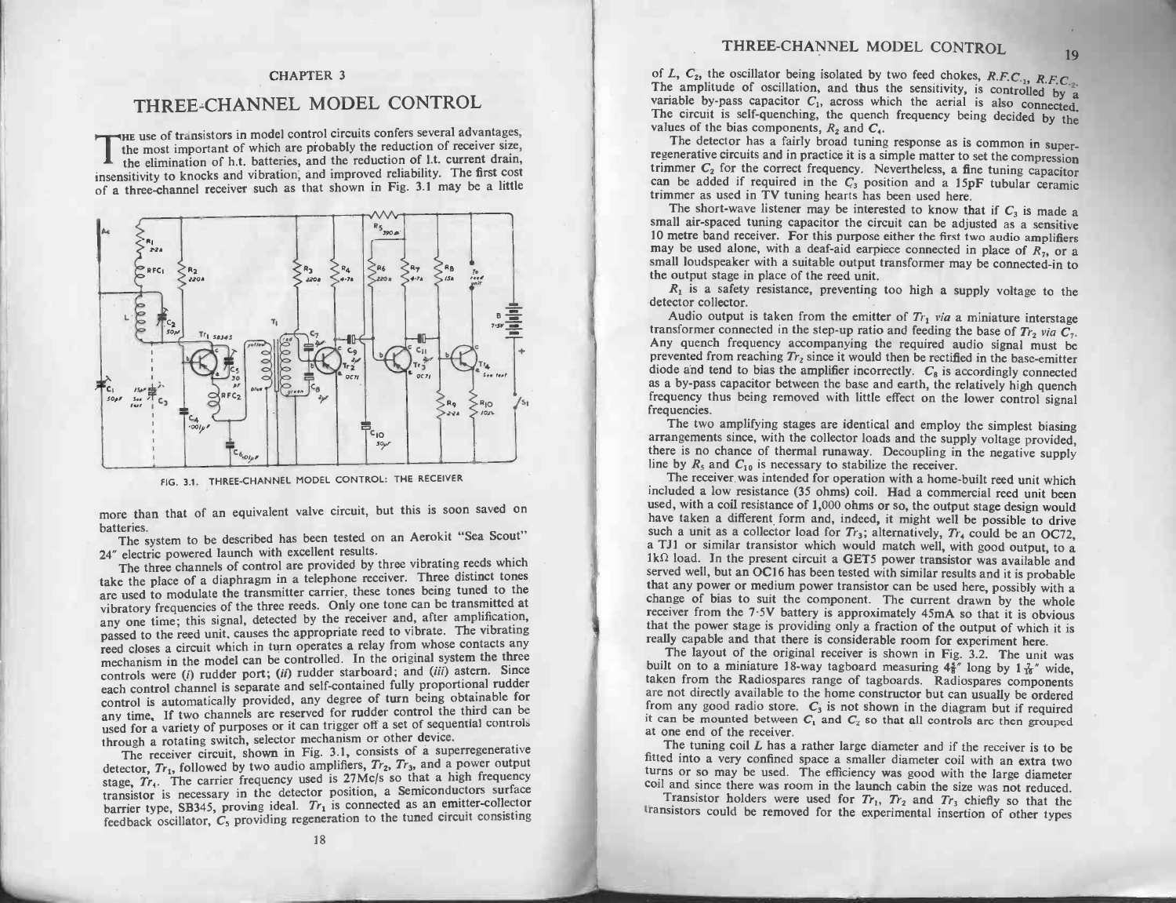### CHAPTER 3

### THREE -CHANNEL MODEL CONTROL THREE-CHANNEL MODEL CONTROL<br>THE use of transistors in model control circuits confers several advantages,

THREE-CITAINVEL TWODEL CONVINCE<br>HE use of transistors in model control circuits confers several advantages,<br>the most important of which are probably the reduction of receiver size,<br>the elimination of h.t. batteries, and th It is elimination of h.t. batteries, and the reduction of receiver size, the elimination of h.t. batteries, and the reduction of l.t. current drain, insensitivity to knocks and vibration, and improved reliability. The firs



FIG. 3.1. THREE-CHANNEL MODEL CONTROL: THE RECEIVER<br>The system to be described has been tested on an Aerokit "Sea Scout"<br>The system to be described has been tested on an Aerokit "Sea Scout" The than that of an equivalent valve circuit, but this is soon saved on eneries.<br>The system to be described has been tested on an Aerokit "Sea Scout"<br>electric powered launch with excellent results.<br>The three channels of co

batteries.<br>24" electric powered launch with excellent results.<br>24" electric powered launch with excellent results.

The system to be described has been tested on an Aerokit "Sea Scout"<br>The system to be described has been testels.<br>The three channels of control are provided by three vibrating reeds which<br>take the place of a diaphragm in a batteries. The system to be described has been tested on an Aerokit "Sea Scout"<br>24" electric powered launch with excellent results.<br>The three channels of control are provided by three vibrating reeds which<br>ake the place of are used to modulate the transmitter carrier, these tones being tuned to the are used to modulate the transmitter carrier, these tones being tuned to the vibratory frequencies of the three reeds. Only one tone can be transmitted at any one time; this signal, detected by the receiver and, after ampl The three channels of control are provided by three vibrating recessions.<br>
The distinct tones<br>
are used to modulate the transmitter carrier, these tones being tuned to the<br>
vibratory frequencies of the three reeds. Only on 24" electric powered launch with excellent results.<br>The three channels of control are provided by three vibrating reeds which<br>ake the place of a diaphragm in a telephone receiver. Three distinct tones<br>are used to modulate passed to the reed unit, causes the appropriate reed to vibrate. The vibrating reed closes a circuit which in turn operates a relay from whose contacts any mechanism in the model can be controlled. In the original system control is automatically provided, any degree of turn being obtainable for any time. If two channels are reserved for rudder control the third can be controls were (*i*) rudder port; (*ii*) rudder starboard; and (*iii*) astern. Since each control channel is separate and self-contained fully proportional rudder control is automatically provided, any degree of turn being control is automatically provided, any degree of turn being obtainable for<br>any time, If two channels are reserved for rudder control the third can be<br>used for a variety of purposes or it can trigger off a set of sequential

hrough a rotating switch, selector mechanism or other device.<br>The receiver circuit, shown in Fig. 3.1, consists of a superregenerative<br>detector,  $Tr_1$ , followed by two audio amplifiers,  $Tr_2$ ,  $Tr_3$ , and a power output stage, Tr<sub>4</sub>. The carrier frequency used is 27Mc/s so that a high frequencial controls hrough a rotating switch, selector mechanism or other device.<br>The receiver circuit, shown in Fig. 3.1, consists of a superregenerative stage,  $Tr_t$ . The carrier frequency used is 27Mc/s so that a high frequency transistor is necessary in the detector position, a Semiconductors surface barrier type, SB345, proving ideal.  $Tr_1$  is connected as an emitter-co The receiver circuit, shown in Fig. 3.1, consists of a supported detector,  $Tr_1$ , followed by two audio amplifiers,  $Tr_2$ ,  $Tr_3$ , and a power output tage,  $Tr_4$ . The carrier frequency used is 27Mc/s so that a high frequen

ER 3<br>
THREE-CHANNEL MODEL CONTROL 19<br>
24 f., c., ate collision being instead by two feel collets,  $B = C$ <br>
ACODEL CONTROL 19<br>
24 f. c. aten distinct of collection in the collection of the collection of the collection of the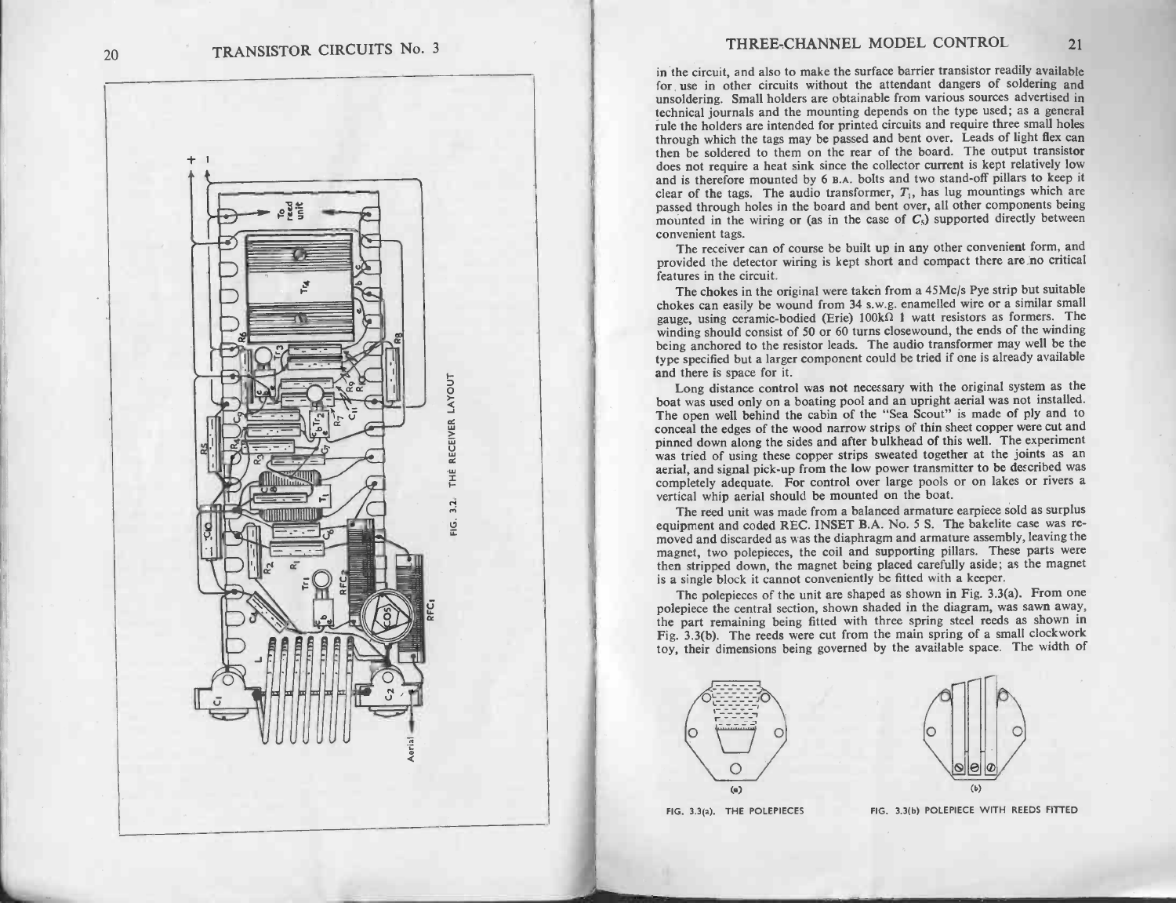

THREE-CHANNEL MODEL CONTROL 21<br>in the circuit, and also to make the surface barrier transistor readily available<br>for use in other circuits without the attendant dangers of soldering and **for use in other circuits without the surface barrier transistor readily available** for use in other circuits without the attendant dangers of soldering and unsoldering. Small holders are obtainable from various sources a in the circuit, and also to make the surface barrier transistor readily available<br>for use in other circuits without the attendant dangers of soldering and<br>unsoldering. Small holders are obtainable from various sources adve technical journals and the mounting depends on the type used; as a general rule the holders are intended for printed circuits and require three small holes through which the tags may be passed and bent over. Leads of light Exember and interest and the mounted for printed circuits and require three small holes<br>through which the tags may be passed and bent over. Leads of light flex can<br>then be soldered to them on the rear of the board. The out through which the tags may be passed and bent over. Leads of light flex can<br>then be soldered to them on the rear of the board. The output transistor<br>does not require a heat sink since the collector current is kept relativ passed through holes in the board and bent over, all other components being mounted in the wiring or (as in the case of  $C_5$ ) supported directly between convenient tags. clear of the tags. The audio transformer,  $T_1$ , has lug mountings which are

provided the detector wiring is kept short and compact there are no critical provided the detector wiring is kept short and compact there are no critical features in the circuit.<br>The chokes in the original were taken from provided the detector wiring is kept short and compact there are no critical features in the circuit.

The chokes in the original were taken from a  $45$ Mc/s Pye strip but suitable chokes can easily be wound from 34 s.w.g. enamelled wire or a similar small gauge, using ceramic-bodied (Erie)  $100k\Omega$  1 watt resistors as formers. The Features in the circuit.<br>The chokes in the original were taken from a 45Mc/s Pye strip but suitable<br>chokes can easily be wound from 34 s.w.g. enamelled wire or a similar smal<br>gauge, using ceramic-bodied (Erie)  $100k\Omega$  1 The chokes in the original were taken from a 45Mc/s Pye strip but suitable chokes can easily be wound from 34 s.w.g. enamelled wire or a similar small gauge, using ceramic-bodied (Erie)  $100k\Omega$  1 watt resistors as former type specified but a larger component could be tried if one is already available<br>and there is space for it.<br>Long distance control was not necessary with the original system as the being anchored to the resistor leads. The audio transformer may well be the

being anchored to the resistor leads. The additional many were only the cabing pool that altarger component could be tried if one is already available and there is space for it.<br>Long distance control was not necessary with and there is space for it.<br>
Long distance control was not necessary with the original system as the<br>
boat was used only on a boating pool and an upright aerial was not installed.<br>
The open well behind the cabin of the "Sea The open well behind the cabin of the "Sea Scout" is made of ply and to conceal the edges of the wood narrow strips of thin sheet copper were cut and pinned down along the sides and after bulkhead of this well. The experim Long distance control was not necessary with the original system as the<br>The open well behind the cabin of the "Sea Scout" is made of ply and to<br>The open well behind the cabin of the "Sea Scout" is made of ply and to<br>pinned conceal the edges of the wood narrow strips of thin sheet copper were cut and<br>pinned down along the sides and after bulkhead of this well. The experiment<br>was tried of using these copper strips sweated together at the joint vertical should be mounted on the boat.<br>Completely adequate. For control over large pools or on lakes or rivers a<br>vertical whip aerial should be mounted on the boat.<br>The reed unit was made from a balanced armature earpiece

expectively and coded REC. INSET B.A. No. 5 S. The bakelite case was re-<br>equipment and coded REC. INSET B.A. No. 5 S. The bakelite case was re-<br>moved and discarded as was the diaphragm and armature assembly, leaving the<br>ma moved and discarded as was the diaphragm and armature assembly, leaving the magnet, two polepieces, the coil and supporting pillars. These parts were then stripped down, the magnet being placed carefully aside; as the magn then stripped down, the magnet being placed carefully aside; as the magnet is a single block it cannot conveniently be fitted with a keeper.<br>The polepieces of the unit are shaped as shown in Fig. 3.3(a). From one

is a single block it cannot conveniently be fitted with a keeper.<br>The polepieces of the unit are shaped as shown in Fig. 3.3(a). From one<br>polepiece the central section, shown shaded in the diagram, was sawn away, magnet, two polepieces, the coll and supporting philars. These parts well<br>then stripped down, the magnet being placed carefully aside; as the magne<br>is a single block it cannot conveniently be fitted with a keeper.<br>The pole Fig. 3.3(b). The reeds were cut from the main spring place that is a single block it cannot conveniently be fitted with a keeper.<br>The polepieces of the unit are shaped as shown in Fig. 3.3(a). From one<br>polepiece the centr The polepieces of the unit are shaped as shown in Fig. 3.3(a). From one polepiece the central section, shown shaded in the diagram, was sawn away, the part remaining being fitted with three spring steel reeds as shown in F



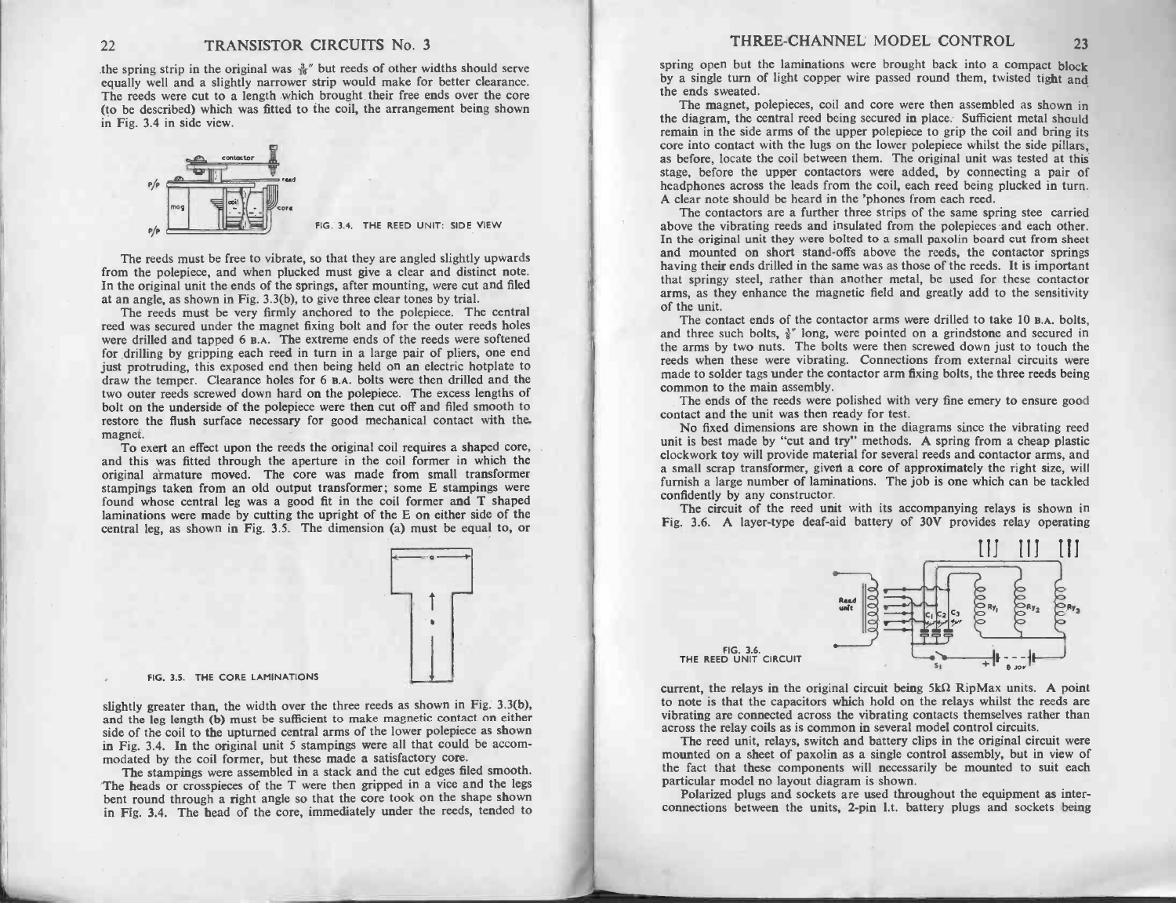the spring strip in the original was  $\frac{3}{16}$ " but reeds of other widths should serve the spring strip in the original was  $\frac{3}{16}$ " but reeds of other widths should serve equally well and a slightly narrower strip would make for better clearance. TRANSISTOR CIRCUITS No. 3<br>the spring strip in the original was  $\frac{1}{16}$ " but reeds of other widths should serve<br>equally well and a slightly narrower strip would make for better clearance.<br>The reeds were cut to a length The reeds were cut to a length which brought their free ends over the core (to be described) which was fitted to the coil, the arrangement being shown in Fig. 3.4 in side view.



The reeds must be free to vibrate, so that they are angled slightly upwards<br>from the polepiece, and when plucked must give a clear and distinct note. FIG. 3.4. THE REED UNIT: SIDE VIEW<br>
The reeds must be free to vibrate, so that they are angled slightly upwards<br>
from the polepiece, and when plucked must give a clear and distinct note.<br>
In the original unit the ends of from the polepiece, and when plucked must give a clear and distinct note.<br>In the original unit the ends of the springs, after mounting, were cut and filed at an angle, as shown in Fig. 3.3(b), to give three clear tones by

The reeds must be very firmly anchored to the polepiece. The central In the original unit the ends of the springs, after mounting, were cut and filed<br>In the original unit the ends of the springs, after mounting, were cut and filed<br>at an angle, as shown in Fig. 3.3(b), to give three clear to The reeds must be very firmly anchored to the polepice. The central<br>reed was secured under the magnet fixing bolt and for the outer reeds holes<br>were drilled and tapped 6 B.A. The extreme ends of the reeds were softened<br>for Figure 1 Figure 1 Figure 1 Figure 1 Figure 1 Figure 1 Figure 1 Figure 1 Figure 1 Figure 1 Figure 1 Figure 1 Figure 1 Figure 1 Figure 1 Figure 1 Figure 1 Figure 1 Figure 1 Figure 1 Figure 1 Figure 1 Figure 1 Figure 1 Figure just protruding, this exposed end then being held on an electric hotplate to draw the temper. Clearance holes for  $6$  B.A. bolts were then drilled and the two outer reeds screwed down hard on the polepiece. The excess len were drilled and tapped 6 B.A. The extreme ends of the reeds were softened<br>for drilling by gripping each reed in turn in a large pair of pliers, one end<br>just protruding, this exposed end then being held on an electric hot just protruding, this exposed end then being held on an electric hotplate to draw the temper. Clearance holes for 6 B.A. bolts were then drilled and the two outer reeds screwed down hard on the polepiece. The excess length magnet.<br>
magnet. To exert an effect upon the reeds the original coil requires a shaped core,<br>
magnet.<br>
To exert an effect upon the reeds the original coil requires a shaped core,<br>
and this was fitted through the aperture i

magnet.<br>To exert an effect upon the reeds the original coil requires a shaped core,<br>and this was fitted through the aperture in the coil former in which the<br>original armature moved. The core was made from small transformer magnet. To exert an effect upon the reeds the original coil requires a shaped core and this was fitted through the aperture in the coil former in which the original armature moved. The core was made from small transformer and this was fitted through the aperture in the coil former in which the original armature moved. The core was made from small transformer stampings taken from an old output transformer; some E stampings were found whose c found whose central leg was a good fit in the coil former and  $T$  shaped laminations were made by cutting the upright of the  $E$  on either side of the central leg. as shown in Fig. 3.5. The dimension (a) must be equal to,



FIG. 3.5. THE CORE LAMINATIONS

FIG. 3.5. THE CORE LAMINATIONS<br>slightly greater than, the width over the three reeds as shown in Fig. 3.3(b),<br>and the leg length (b) must be sufficient to make magnetic contact on either<br>side of the coil to the upturned ce and the leg length (b) must be sufficient to make magnetic contact on either side of the coil to the upturned central arms of the lower polepiece as shown in Fig. 3.4. In the original unit 5 stampings were all that could side of the coil to the upturned central arms of the lower polepiece as shown<br>in Fig. 3.4. In the original unit 5 stampings were all that could be accom-<br>modated by the coil former, but these made a satisfactory core.<br>The

The stampings were assembled in a stack and the cut edges filed smooth.<br>The heads or crosspieces of the T were then gripped in a vice and the legs<br>bent round through a right angle so that the core took on the shape shown<br>i



THE REED UNIT CIRCUIT<br>current, the relays in the original circuit being 5kΩ RipMax units. A point<br>to note is that the capacitors which hold on the relays whilst the reeds are<br>vibrating are connected across the vibrating c to note is that the capacitors which hold on the relays whilst the reeds are vibrating are connected across the vibrating contacts themselves rather than across the relay coils as is common in several model control circuit current, the relays in the original circuit being  $5k\Omega$  RipMax units. A point to note is that the capacitors which hold on the relays whilst the reeds are wibratting component in several model control circuits. The reed

mounted on a sheet of paxolin as a single combout<br>the fact that these components will necessare<br>particular model no layout diagram is shown. mounted on a sheet of paxolin as a single control assembly, but in view of the fact that these components will necessarily be mounted to suit each particular model no layout diagram is shown.<br>Polarized plugs and sockets ar

connections between the units, 2-pin 1.t. battery plugs and sockets being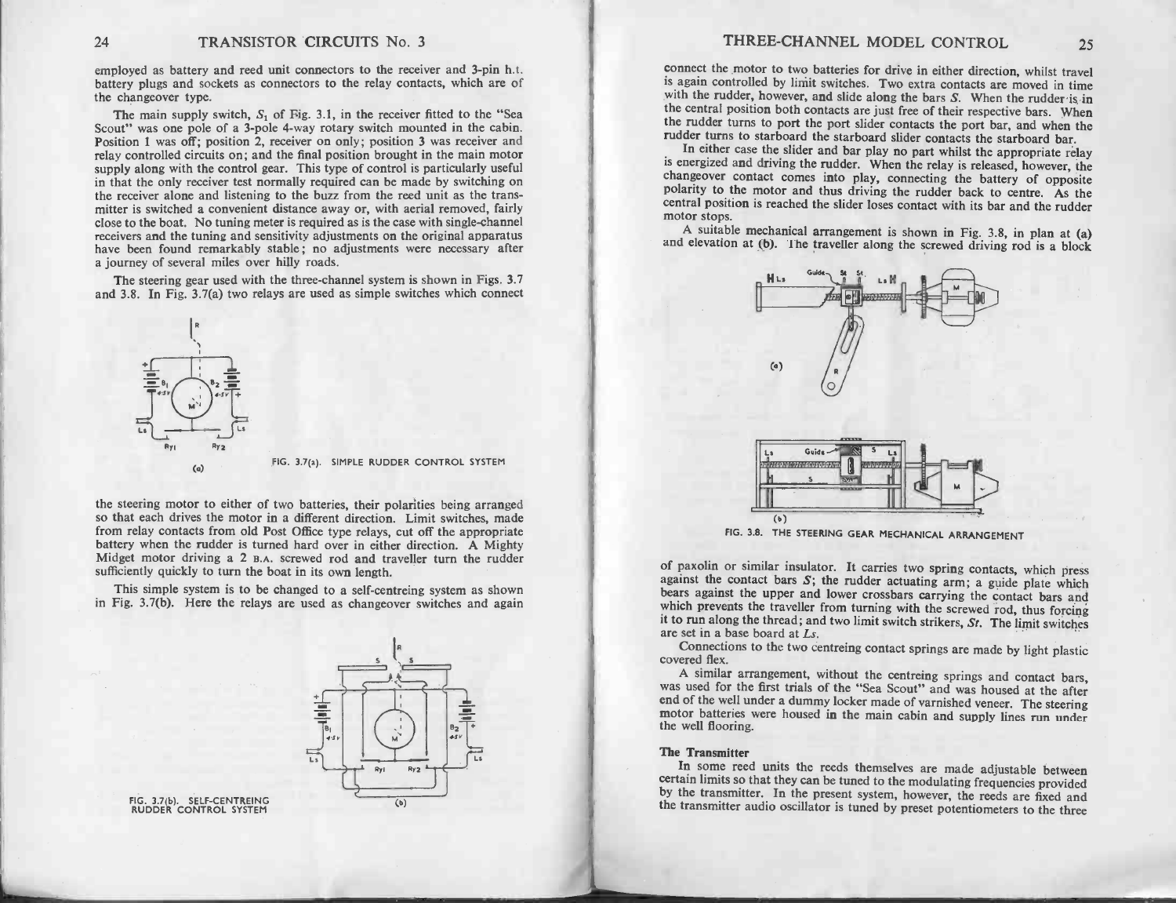employed as battery and reed unit connectors to the receiver and 3-pin h.t. I KANSISTUK CIKCUITS NO. 3<br>battery and sockets as connectors to the receiver and 3-pin h.t.<br>battery plugs and sockets as connectors to the relay contacts, which are of employed as battery<br>battery plugs and so<br>the changeover type. bloyed as battery and reed unit connectors to the receiver and 3-pin h.t.<br>ery plugs and sockets as connectors to the relay contacts, which are of<br>changeover type.<br>The main supply switch,  $S_1$  of Fig. 3.1, in the receiver

The main supply switch,  $S_1$  of Fig. 3.1, in the receiver fitted to the "Sea<br>Scout" was one pole of a 3-pole 4-way rotary switch mounted in the cabin.<br>Position 1 was off: position 2, receiver on only: position 3 was rece battery plugs and sockets as connectors to the relay contacts, which are of<br>the changeover type.<br>The main supply switch,  $S_1$  of Fig. 3.1, in the receiver fitted to the "Sea<br>Scout" was one pole of a 3-pole 4-way rotary sw relative main supply switch,  $S_1$  or Fig. 3.1, in the receiver fitted to the sea<br>Scout" was one pole of a 3-pole 4-way rotary switch mounted in the cabin.<br>Position 1 was off; position 2, receiver on only; position 3 was r Position 1 was off; position 2, receiver on only; position 3 was receiver and relay controlled circuits on; and the final position brought in the main motor supply along with the control gear. This type of control is parti In that the only receiver test normally required the only receiver of the cabin.<br>Position 1 was off; position 2, receiver on only; position 3 was receiver and<br>relay controlled circuits on; and the final position brought in supply along with the control gear. This type of control is particularly useful<br>in that the only receiver test normally required can be made by switching on<br>the receiver alone and listening to the buzz from the reed unit a mitter is switched circuits on; and the final position brought in the main motor supply along with the control gear. This type of control is particularly useful in that the only receiver test normally required can be made the receiver alone and listening to the buzz from the reed unit as the transmitter is switched a convenient distance away or, with aerial removed, fairly close to the boat. No tuning meter is required as is the case with s mitter is switched a convenient distance away or, with aerial removed, fairly<br>close to the boat. No tuning meter is required as is the case with single-channel<br>receivers and the tuning and sensitivity adjustments on the or eceivers and the tuning and sensitivity adjust<br>have been found remarkably stable; no a<br>a journey of several miles over hilly roads. close to the boat. No tuning meter is required as is the case with single-channel receivers and the tuning and sensitivity adjustments on the original apparatus have been found remarkably stable; no adjustments were necess

and 3.8. In Fig. 3.7(a) two relays are used as simple switches which connect



 $\begin{array}{r} \hline \text{R}_{11} \text{R}_{12} \text{R}_{13} \text{R}_{14} \text{R}_{15} \text{R}_{16} \text{R}_{17} \text{R}_{18} \text{R}_{18} \text{R}_{19} \text{R}_{10} \text{R}_{11} \text{R}_{12} \text{R}_{13} \text{R}_{15} \text{R}_{16} \text{R}_{17} \text{R}_{18} \text{R}_{19} \text{R}_{10} \text{R}_{11} \text{R}_{12} \text{R}_{13} \text{R}_{15} \text{R}_{16} \text{R}_{17} \text$ the steering motor to either of two batteries, their polarities being arranged<br>so that each drives the motor in a different direction. Limit switches, made<br>from relay contacts from old Post Office type relays, cut off the the steering motor to either of two batteries, their polarities being arranged<br>so that each drives the motor in a different direction. Limit switches, made<br>from relay contacts from old Post Office type relays, cut off the battery when the rudder is turned hard over in eith<br>Midget motor driving a 2 B.A. screwed rod and tr<br>sufficiently quickly to turn the boat in its own length. m relay contacts from old Post Office type relays, cut off the appropriate<br>tery when the rudder is turned hard over in either direction. A Mighty<br>lget motor driving a 2 B.A. screwed rod and traveller turn the rudder<br>incien battery when the rudder is turned hard over in either direction. A Mighty Midget motor driving a 2 B.A. screwed rod and traveller turn the rudder sufficiently quickly to turn the boat in its own length.<br>This simple system



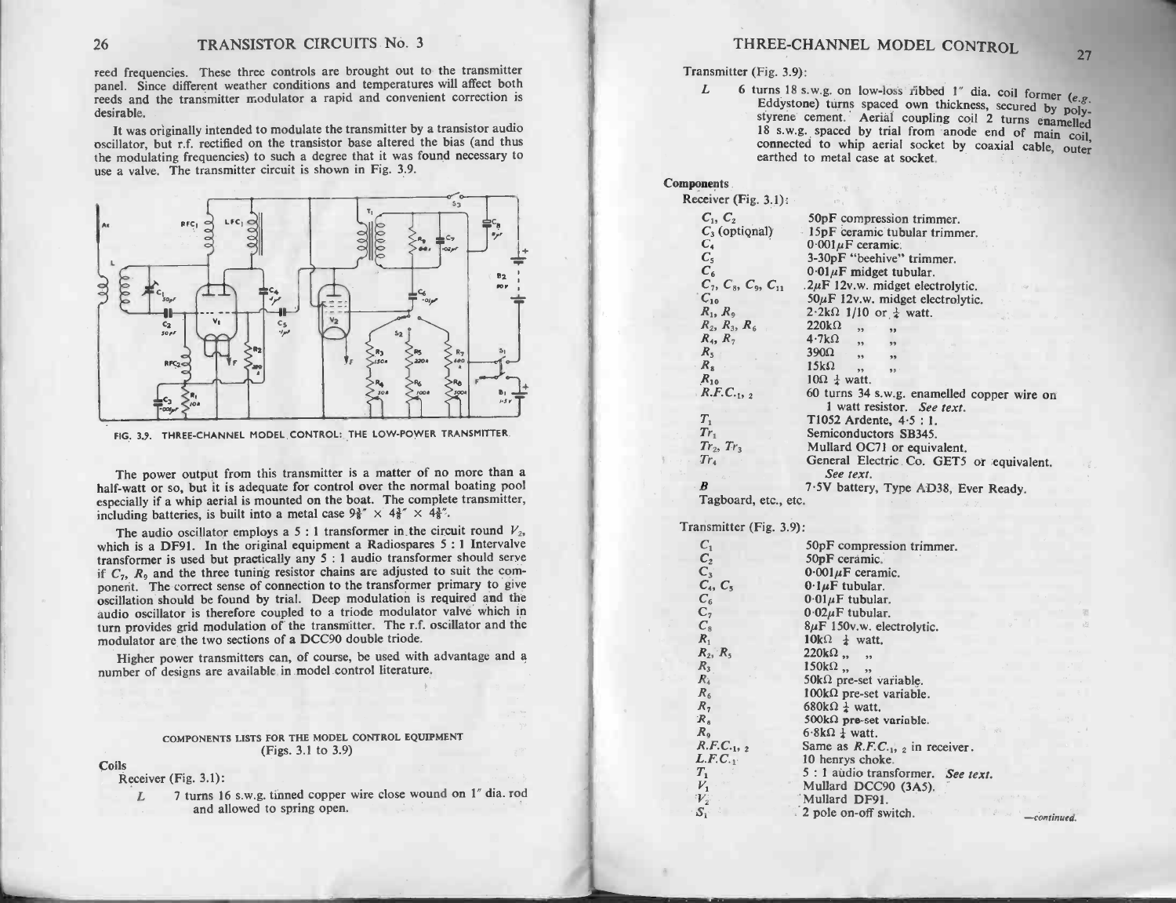reed frequencies. These three controls are brought out to the transmitter panel. Since different weather controls are brought out to the transmitter panel. Since different weather conditions and temperatures will affect both reeds and the transmitter modulator a rapid and convenient correction i reeds and the transmitter modulator a rapid and convenient correction is desirable. I frequencies. These three controls are brought out to the transmitter<br>el. Since different weather conditions and temperatures will affect both<br>ls and the transmitter modulator a rapid and convenient correction is<br>rable.<br>I

rection is<br>desirable.<br>It was originally intended to modulate the transmitter by a transistor audio<br>oscillator, but r.f. rectified on the transistor base altered the bias (and thus<br>the modulating frequencies) to such a degr the modulating frequencies) to such a degree that it was found necessary to use a valve. The transmitter circuit is shown in Fig. 3.9.



The power output from this transmitter is a matter of no more than a<br>half-watt or so, but it is adequate for control over the normal boating pool The power output from this transmitter is a matter of no more than a<br>half-watt or so, but it is adequate for control over the normal boating pool<br>especially if a whip aerial is mounted on the boat. The complete transmitter The power output from this transmitter is a matter of half-watt or so, but it is adequate for control over the nospecially if a whip aerial is mounted on the boat. The concluding batteries, is built into a metal case  $9\frac$ The power output from this transmitter is a matter of no more than a<br>
"watt or so, but it is adequate for control over the normal boating poor<br>
ccially if a whip aerial is mounted on the boat. The complete transmitter<br>
ud

especially if a whip aerial is mounted on the boat. The complete transmitter,<br>including batteries, is built into a metal case  $9\frac{3}{8}\times 4\frac{3}{8}\times 4\frac{3}{8}\times$ .<br>The audio oscillator employs a 5 : 1 transformer in the circui which is a DF91. In the original equipment a Radiospares  $5:1$  Intervalve The audio oscillator employs a 5 : 1 transformer in the circuit round  $V_2$ ,<br>which is a DF91. In the original equipment a Radiospares 5 : 1 Intervalve<br>transformer is used but practically any 5 : 1 audio transformer should ponent. The correct sense of connection to the transformer primary to give oscillation should be found by trial. Deep modulation is required and the audio oscillator is therefore coupled to a triode modulator valve which i turn provides grid modulation of the transmitter. The r.f. oscillator and the Hation should be found by that. Deep modulation is required and the<br>io oscillator is therefore coupled to a triode modulator valve which in<br>a provides grid modulation of the transmitter. The r.f. oscillator and the<br>dulator

modulator are the two sections of a BOOS double thous.<br>Higher power transmitters can, of course, be used with<br>number of designs are available in model control literature

## COMPONENTS LISTS FOR THE MODEL CONTROL EQUIPMENT FOR THE MODEL<br>(Figs. 3.1 to 3.9)

Coils

Receiver (Fig. 3.1):

(Figs. 3.1 to 3.9)<br>
Leiver (Fig. 3.1):<br>
L 7 turns 16 s.w.g. tinned copper wire close wound on 1" dia. rod

| TRANSISTOR CIRCUITS No. 3                                                                                                                                                                                                                                                                                              | THREE-CHANNEL MODEL CONTROL                                                                                                                                                                                                                                                |  |
|------------------------------------------------------------------------------------------------------------------------------------------------------------------------------------------------------------------------------------------------------------------------------------------------------------------------|----------------------------------------------------------------------------------------------------------------------------------------------------------------------------------------------------------------------------------------------------------------------------|--|
| These three controls are brought out to the transmitter<br>erent weather conditions and temperatures will affect both                                                                                                                                                                                                  | 27<br>Transmitter (Fig. 3.9):<br>L<br>6 turns 18 s.w.g. on low-loss ribbed 1" dia. coil former (e.g.                                                                                                                                                                       |  |
| nsmitter modulator a rapid and convenient correction is<br>y intended to modulate the transmitter by a transistor audio<br>rectified on the transistor base altered the bias (and thus<br>equencies) to such a degree that it was found necessary to<br>transmitter circuit is shown in Fig. 3.9.                      | Eddystone) turns spaced own thickness, secured by poly-<br>styrene cement. Aerial coupling coil 2 turns enamelled<br>18 s.w.g. spaced by trial from anode end of main coil,<br>connected to whip aerial socket by coaxial cable, outer<br>earthed to metal case at socket. |  |
|                                                                                                                                                                                                                                                                                                                        | <b>Components</b><br>Receiver (Fig. $3.1$ ):<br><b>CONTRACTOR</b> CONTRACTOR                                                                                                                                                                                               |  |
| $s_{3}$<br>$LFC_1$<br>$-0.2p$                                                                                                                                                                                                                                                                                          | $C_1, C_2$<br>50pF compression trimmer.<br>$C_3$ (optional) 15pF ceramic tubular trimmer.<br>$C_4$<br>$0.001 \mu F$ ceramic.<br>$C_{5}$<br>3-30pF "beehive" trimmer.<br>C <sub>6</sub>                                                                                     |  |
| 92<br>$\mathbb{F}_{q^{\prime}p}^{c_{4}}$<br>$C_5$                                                                                                                                                                                                                                                                      | $0.01 \mu$ F midget tubular.<br>$C_7, C_8, C_9, C_{11}$<br>$.2\mu$ F 12v.w. midget electrolytic.<br>$C_{10}$<br>$50\mu$ F 12v.w. midget electrolytic.<br>$R_1, R_2$<br>$2.2k\Omega$ 1/10 or $\frac{1}{4}$ watt.<br>$R_2, R_3, R_6$<br>$220k\Omega$ ,                       |  |
|                                                                                                                                                                                                                                                                                                                        | $4.7k\Omega$<br>$R_4, R_7$<br>$390\Omega$<br>$R_{5}$<br>,<br>,<br>$R_{8}$<br>$15k\Omega$<br>55 <sup>7</sup><br>53 <sub>1</sub><br>$R_{10}$<br>$10\Omega \frac{1}{4}$ watt.<br>R.F.C. <sub>12</sub><br>60 turns 34 s.w.g. enamelled copper wire on                          |  |
| CHANNEL MODEL CONTROL: THE LOW-POWER TRANSMITTER.                                                                                                                                                                                                                                                                      | 1 watt resistor. See text.<br>$T_1$<br>T1052 Ardente, 4.5 : 1.<br>$Tr_1$<br>Semiconductors SB345.<br>$Tr_2, Tr_3$<br>Mullard OC71 or equivalent.                                                                                                                           |  |
| tput from this transmitter is a matter of no more than a<br>ut it is adequate for control over the normal boating pool<br>p aerial is mounted on the boat. The complete transmitter,                                                                                                                                   | $Tr_{4}$<br>General Electric Co. GET5 or equivalent.<br>See text.<br>B<br>7.5V battery, Type AD38, Ever Ready.<br>Tagboard, etc., etc.                                                                                                                                     |  |
| s, is built into a metal case $9\frac{3}{8}$ " × $4\frac{3}{8}$ " × $4\frac{3}{8}$ ".                                                                                                                                                                                                                                  | Transmitter (Fig. 3.9):                                                                                                                                                                                                                                                    |  |
| illator employs a 5 : 1 transformer in the circuit round $V_2$ ,<br>In the original equipment a Radiospares 5:1 Intervalve<br>ed but practically any 5 : 1 audio transformer should serve<br>three tuning resistor chains are adjusted to suit the com-<br>rect sense of connection to the transformer primary to give | $C_1$<br>50pF compression trimmer.<br>$C_2$<br>50pF ceramic.<br>$\frac{C_3}{C_4}$ , $C_5$<br>$0.001 \mu F$ ceramic.<br>$0.1 \mu$ F tubular.                                                                                                                                |  |
| be found by trial. Deep modulation is required and the<br>s therefore coupled to a triode modulator valve which in<br>I modulation of the transmitter. The r.f. oscillator and the<br>two sections of a DCC90 double triode.                                                                                           | $C_6$<br>$0.01 \mu F$ tubular.<br>$C_7$<br>$0.02 \mu F$ tubular.<br>$C_{8}$<br>$8\mu$ F 150v.w. electrolytic.<br>$R_1$<br>$10k\Omega \neq \text{watt.}$<br>$R_2, R_5$<br>$220k\Omega$ ,, ,                                                                                 |  |
| transmitters can, of course, be used with advantage and a<br>s are available in model control literature.                                                                                                                                                                                                              | $150k\Omega$ ,,,<br>$R_3$<br>$R_{4}$<br>$50k\Omega$ pre-set variable.<br>$R_6$<br>$100k\Omega$ pre-set variable.<br>680k $\Omega$ $\frac{1}{4}$ watt.<br>R <sub>7</sub>                                                                                                    |  |
| ONENTS LISTS FOR THE MODEL CONTROL EQUIPMENT<br>(Figs. 3.1 to 3.9)                                                                                                                                                                                                                                                     | $R_{8}$<br>500k $\Omega$ pre-set variable.<br>$6.8k\Omega \frac{1}{4}$ watt.<br>R <sub>9</sub><br>$R.F.C._1, 2$<br>Same as $R.F.C_{1,2}$ in receiver.<br>$L.F.C._1$<br>10 henrys choke.                                                                                    |  |
| $3.1$ :<br>irns 16 s.w.g. tinned copper wire close wound on 1" dia. rod<br>and allowed to spring open.                                                                                                                                                                                                                 | $T_{1}$<br>5 : 1 audio transformer. See text.<br>$V_1$<br>Mullard DCC90 (3A5).<br>$V_{2}$<br>Mullard DF91.<br>2 pole on-off switch.<br>$\mathcal{S}_1$<br>$-$ continued.                                                                                                   |  |

| ansmitter (Fig. 3.9):         |                                                                 |
|-------------------------------|-----------------------------------------------------------------|
| $C_{1}$                       | 50pF compression trimmer.                                       |
| C <sub>2</sub>                | 50pF ceramic.                                                   |
| $C_3$                         | $0.001 \mu F$ ceramic.                                          |
| $C_4, C_5$                    | $0.1 \mu F$ tubular.                                            |
| $C_6$                         | $0.01 \mu F$ tubular.                                           |
| C <sub>7</sub><br>$C_{\rm s}$ | $0.02\mu$ F tubular.                                            |
| $R_{1}$                       | $8\mu$ F 150v.w. electrolytic.                                  |
| $R_2, R_5$                    | $10k\Omega \neq \text{watt.}$                                   |
| $R_{3}$                       | $220k\Omega$ ,, ,                                               |
| $R_{4}$                       | $150k\Omega$ ,,,                                                |
| $R_{6}$                       | $50k\Omega$ pre-set variable.<br>$100k\Omega$ pre-set variable. |
| $R_{\rm 7}$                   | 680k $\Omega$ $\frac{1}{4}$ watt.                               |
| $R_{\rm g}$                   | 500 $k\Omega$ pre-set variable.                                 |
| $R_{\rm g}$                   | $6.8k\Omega \frac{1}{4}$ watt.                                  |
| $R.F.C._1, 2$                 | Same as $R.F.C.1,2$ in receiver.                                |
| L.F.C.                        | 10 henrys choke.                                                |
| $T_{1}$                       | 5 : 1 audio transformer. See text.                              |
| $V_1$                         | Mullard DCC90 (3A5).                                            |
| $V_2$                         | Mullard DF91.                                                   |
| $\mathcal{S}_1$ :             | 2 pole on-off switch.<br>continue                               |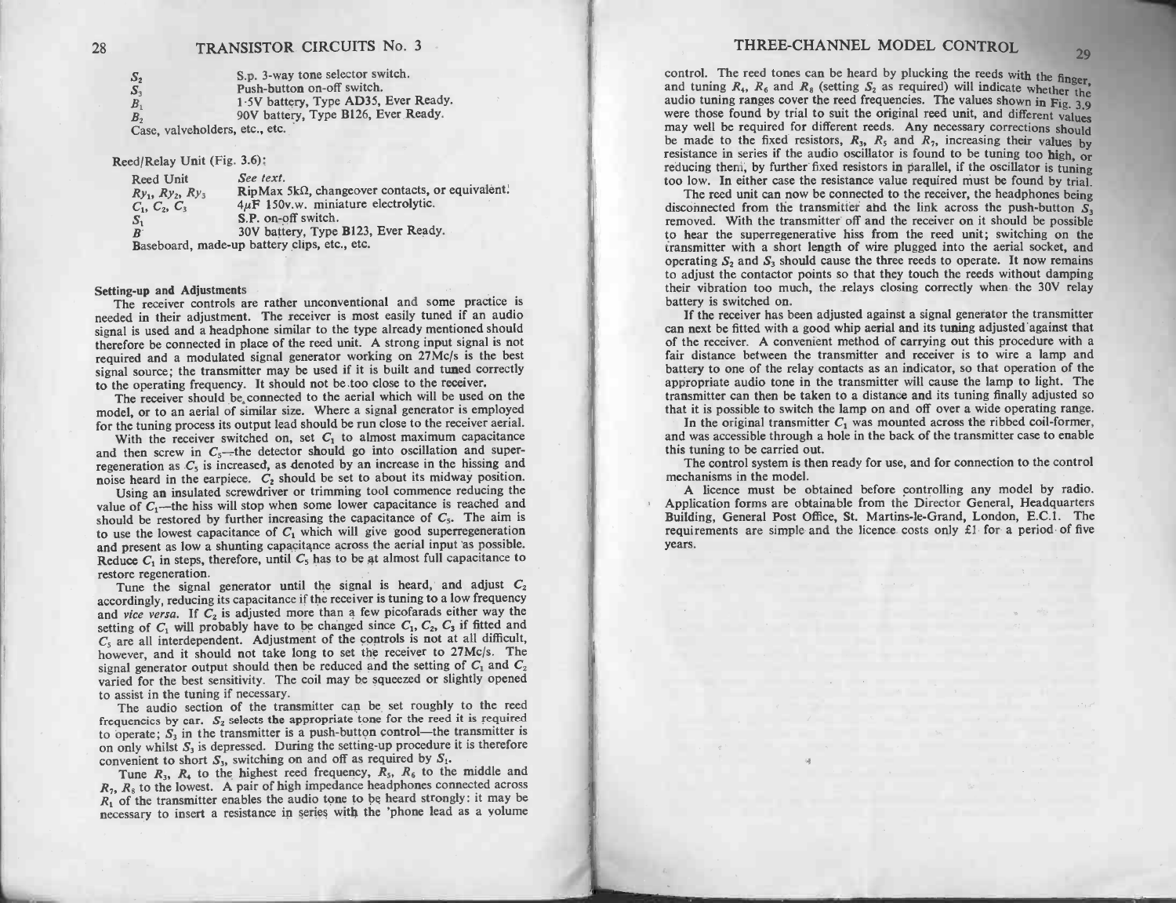|                                                  | <b>IRANSISTUR CIRCUITS 190. 5</b>                                                                                                             |
|--------------------------------------------------|-----------------------------------------------------------------------------------------------------------------------------------------------|
| S <sub>2</sub><br>$S_3$<br>B <sub>1</sub>        | S.p. 3-way tone selector switch.<br>Push-button on-off switch.<br>1.5V battery, Type AD35, Ever Ready.<br>90V battery, Type B126, Ever Ready. |
| B <sub>2</sub><br>Case, valveholders, etc., etc. |                                                                                                                                               |

Case, valvenoiders, etc.,<br>Reed/Relay Unit (Fig. 3.6):

| $\text{lead}/\text{Relay Unit}$ (Fig. 3.6):                       |                                                                                                                                 |
|-------------------------------------------------------------------|---------------------------------------------------------------------------------------------------------------------------------|
| Reed Unit<br>$Ry_1$ , $Ry_2$ , $Ry_3$<br>$C_1, C_2, C_3$<br>$S_1$ | See text.<br>RipMax 5kΩ, changeover contacts, or equivalent.<br>$4\mu$ F 150v.w. miniature electrolytic.<br>S.P. on-off switch. |
| $\boldsymbol{B}$                                                  | 30V battery, Type B123, Ever Ready.                                                                                             |
|                                                                   | Baseboard, made-up battery clips, etc., etc.                                                                                    |

Setting up and Adjustments<br>
The receiver controls are rather unconventional and some practice is<br>
needed in their adjustment. The receiver is most easily tuned if an audio Setting-up and Adjustments<br>The receiver controls are rather unconventional and some practice is<br>needed in their adjustment. The receiver is most easily tuned if an audio<br>ignal is used and a headphone similar to the type al The receiver controls are rather unconventional and some practice is<br>needed in their adjustment. The receiver is most easily tuned if an audio<br>signal is used and a headphone similar to the type already mentioned should<br>the Ine receiver controls are rather unconventuous and some preceiver in the receiver is most easily uned if an audio<br>is signal is used and a headphone similar to the type already mentioned should<br>therefore be connected in pla therefore be connected in place of the reed unit. A strong input signal is not required and a modulated signal generator working on 27Mc/s is the best signal source; the transmitter may be used if it is built and tuned cor

The receiver should be connected to the aerial which will be used on the model, or to an aerial of similar size. Where a signal generator is employed for the tuning process its output lead should be run close to the recei to the operating frequency. It should not be too close to the receiver.<br>The receiver should be connected to the aerial which will be used on the<br>model, or to an aerial of similar size. Where a signal generator is employed

reflective shown by connected. Where a signal generator is employed<br>for the tuning process its output lead should be run close to the receiver aerial.<br>With the receiver switched on, set  $C_1$  to almost maximum capacitance With the receiver switched on, set  $C_1$  to almost maximum capacitance<br>and then serve in  $C_5$  is increased, as denoted by an increase in the hissing and<br>noise heard in the earpiece.  $C_2$  should be set to about its midwa

function as the capacital be set to about its midway position.<br>Iosing an insulated screwdriver or trimming tool commence reducing the<br>value of  $C_1$ —the hiss will stop when some lower capacitance is reached and<br>should be should be restored by further increasing the capacitance of  $C_5$ . The aim is<br>to use the lowest capacitance of  $C_1$  which will give good superregeneration<br>and present as low a shunting capacitance across the aerial input Since of  $C_1$ —the hiss will stop when some lower capacitance is reached and should be restored by further increasing the capacitance of  $C_5$ . The aim is to use the lowest capacitance of  $C_1$  which will give good superr

restore regeneration.<br>Tune the signal generator until the signal is heard, and adjust  $C_2$  accordingly, reducing its capacitance if the receiver is tuning to a low frequency Reduce  $C_1$  in steps, therefore, until  $C_5$  has to be at almost full capacitance to<br>restore regeneration.<br>Tune the signal generator until the signal is heard, and adjust  $C_2$ <br>accordingly, reducing its capacitance if th accordingly, reducing its capacitance if the receiver is tuning to a low frequency and *vice versa*. If  $C_2$  is adjusted more than a few picofarads either way the setting of  $C_1$  will probably have to be changed since setting of  $C_1$  will probably have to be changed since  $C_1$ ,  $C_2$ ,  $C_3$  if fitted and  $C_5$  are all interdependent. Adjustment of the controls is not at all difficult, however, and it should not take long to set the r  $C_5$  are all interdependent. Adjustment of the controls is not at all difficult,<br>however, and it should not take long to set the receiver to 27Mc/s. The<br>signal generator output should then be reduced and the setting of frequencies by ear. S<sub>2</sub> selects the appropriate to the reduced and the setting of  $C_1$  and  $C_2$  varied for the best sensitivity. The coil may be squeezed or slightly opened to assist in the tuning if necessary.<br>The aud

to assist in the tuning if necessary.<br>The audio section of the transmitter can be set roughly to the reed<br>frequencies by ear.  $S_2$  selects the appropriate tone for the reed it is required<br>to operate;  $S_3$  in the transmi to operate;  $S_3$  in the transmitter is a push-button control—the transmitter is<br>on only whilst  $S_3$  is depressed. During the setting-up procedure it is therefore<br>convenient to short  $S_3$ , switching on and off as requir The audio section of the transmitter can be set roughly to the reed<br>quencies by ear.  $S_2$  selects the appropriate tone for the reed it is required<br>operate;  $S_3$  in the transmitter is a push-button control—the transmitte

 $R_1$ ,  $R_8$  to the lowest. A pair of high impedance headphones connected across  $R_1$  of the transmitter enables the audio tone to be heard strongly: it may be necessary to insert a resistance in series with the 'phone l

necessary to insert a resistance in series with the 'phone lead as a volume THREE -CHANNEL MODEL CONTROL <sup>29</sup> control. The reed tones can be heard by plucking the reeds with the finger, and tuning R4, R6 and R8 (setting S2 as required) will indicate whether the audio tuning ranges cover the reed frequencies. The values shown in Fig. 3,9 were those found by trial to suit the original reed unit, and different values may well be required for different reeds. Any necessary corrections should be made to the fixed resistors, R3, R5 and R7, increasing their values by resistance in series if the audio oscillator is found to be tuning too high, or reducing them, by further fixed resistors in parallel, if the oscillator is tuning too low. In either case the resistance value required must be found by trial. The reed unit can now be connected to the receiver, the headphones being disconnected from the transmitter and the link across the push-button S3 removed. With the transmitter off and the receiver on it should be possible to hear the superregenerative hiss from the reed unit; switching on the transmitter with a short length of wire plugged into the aerial socket, and operating S2 and S3 should cause the three reeds to operate. It now remains to adjust the contactor points so that they touch the reeds without damping their vibration too much, the relays closing correctly when the 30V relay battery is switched on. If the receiver has been adjusted against a signal generator the transmitter can next be fitted with a good whip aerial and its tuning adjusted against that of the receiver. A convenient method of carrying out this procedure with a fair distance between the transmitter and receiver is to wire a lamp and battery to one of the relay contacts as an indicator, so that operation of the appropriate audio tone in the transmitter will cause the lamp to light. The transmitter can then be taken to a distance and its tuning finally adjusted so that it is possible to switch the lamp on and off over a wide operating range. In the original transmitter C1 was mounted across the ribbed coil -former, and was accessible through a hole in the back of the transmitter case to enable this tuning to be carried out. The control system is then ready for use, and for connection to the control mechanisms in the model. A licence must be obtained before controlling any model by radio. Application forms are obtainable from the Director General, Headquarters Building, General Post Office, St. Martins -le -Grand, London, E.C.1. The requirements are simple and the licence costs only £1 for a period of five years.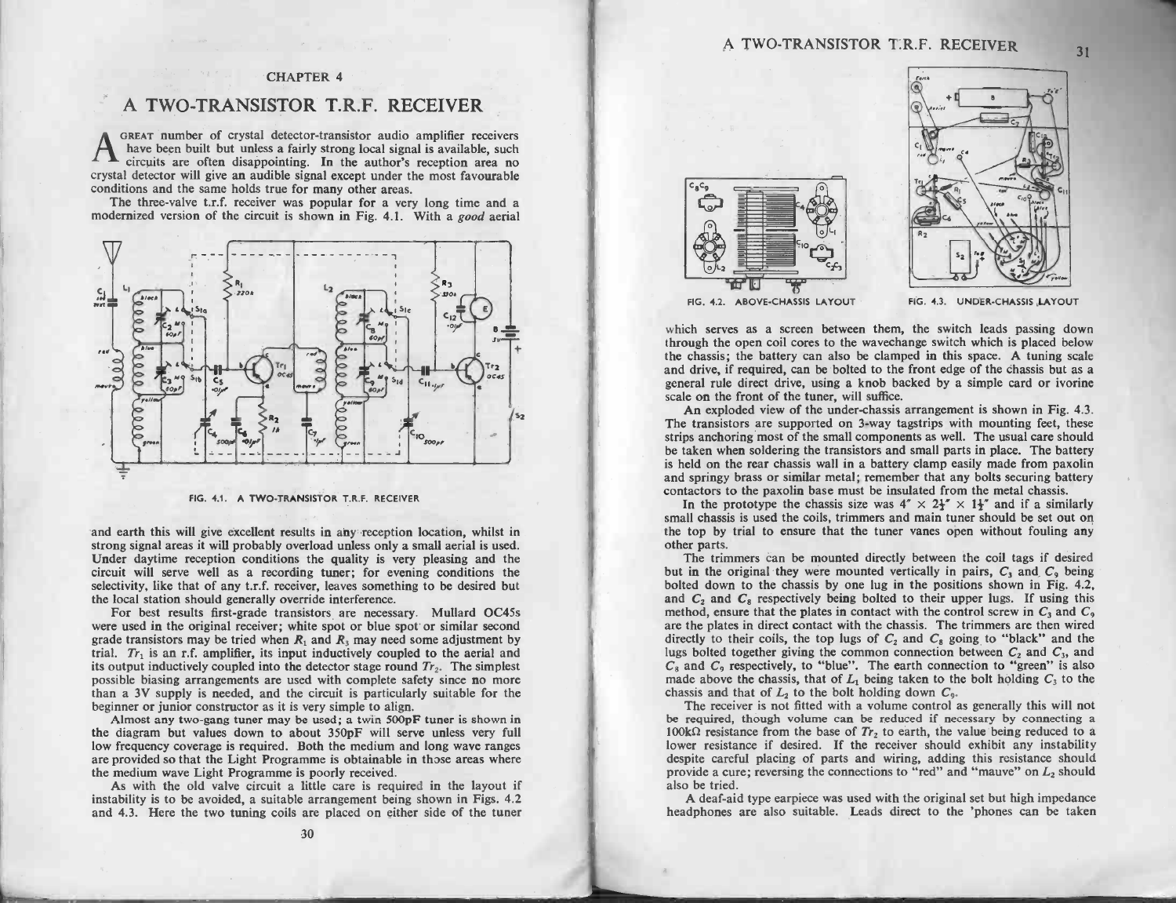### CHAPTER 4

# CHAPTER 4<br>A TWO-TRANSISTOR T.R.F. RECEIVER

A TWO-TRANSISTOR T.R.F. RECEIVER<br>
GREAT number of crystal detector-transistor audio amplifier receivers<br>
have been built but unless a fairly strong local signal is available, such<br>
circuits are often disappointing. In the **CREAT number of crystal detector-transistor audio amplifier receivers** have been built but unless a fairly strong local signal is available, such circuits are often disappointing. In the author's reception area no crystal have been built but unless a fairly strong local signal is available, such circuits are often disappointing. In the author's reception area no tal detector will give an audible signal except under the most favourable ditio

conditions and the same holds true for many other areas.<br>The three-valve t.r.f. receiver was popular for a very long time and a modernized version of the circuit is shown in Fig. 4.1. With a *good* aerial



and earth this will give excellent results in any reception location, whilst in and earth this will give excellent results in any reception location, whilst in<br>strong signal areas it will probably overload unless only a small aerial is used. FIG. 4.1. A TWO-TRANSISTOR T.R.F. RECEIVER<br>and earth this will give excellent results in any reception location, whilst in<br>strong signal areas it will probably overload unless only a small aerial is used.<br>Under daytime rec Under daytime reception conditions the quality is very pleasing and the circuit will serve well as a recording tuner; for evening conditions the selectivity, like that of any  $t.r.f.$  receiver, leaves something to be desire the local station should generally override interference. For best results first exception conductions fire quality is very pleasing dins the selectivity, like that of any t.r.f. receiver, leaves something to be desired but the local station should generally override interference

selectivity, like that of any t.r.f. receiver, leaves something to be desired but the local station should generally override interference.<br>For best results first-grade transistors are necessary. Mullard OC45s were used i trial.  $Tr_1$  is an r.f. amplifier, its input inductively coupled to the aerial and its output inductively coupled into the detector stage round  $Tr_2$ . The simplest were used in the original receiver; white spot or blue spot or similar second grade transistors may be tried when  $R_1$  and  $R_3$  may need some adjustment by trial.  $Tr_1$  is an r.f. amplifier, its input inductively couple than a 3V supply is needed, and the circuit is particularly suitable for the beginner or junior constructor as it is very simple to align.<br>Almost any two-gang tuner may be used; a twin 500pF tuner is shown in possible biasing arrangements are used with complete safety since no more<br>than a 3V supply is needed, and the circuit is particularly suitable for the<br>beginner or junior constructor as it is very simple to align.<br>Almost an

the diagram but values down to about 350pF will serve unless very full are provided so that the Light Programme is obtainable in those areas where the medium wave Light Programme is poorly received. the medium wave Light Programme is poorly received. As with the medium wave Light Programme is obtainable in those areas where the medium wave Light Programme is poorly received.<br>As with the old valve circuit a little care

he medium wave Light Programme is poorly received.<br>As with the old valve circuit a little care is required in the layout if<br>instability is to be avoided, a suitable arrangement being shown in Figs. 4.2<br>and 4.3. Here the tw



The contract of the same of the same in the same in the same in the same in the same in the same in the same in the same in the same in the same in the same in the same in the same in the same in the same in the same in t